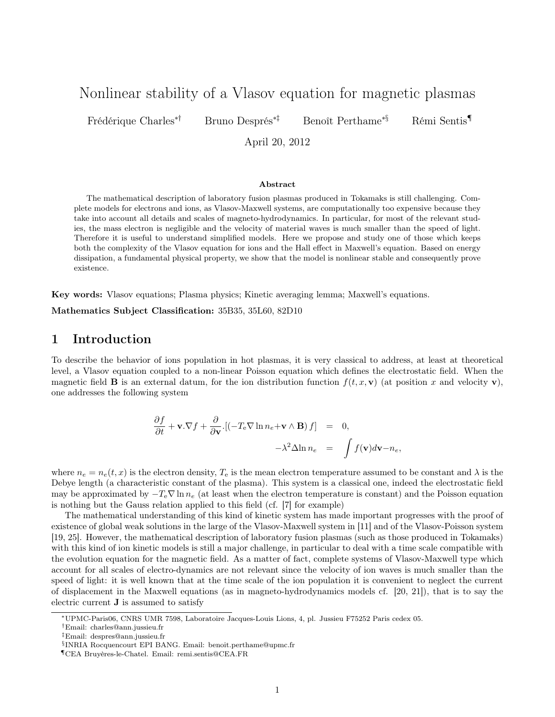# Nonlinear stability of a Vlasov equation for magnetic plasmas

Frédérique Charles∗† Bruno Després∗‡ Benoît Perthame∗§ Rémi Sentis¶

April 20, 2012

#### Abstract

The mathematical description of laboratory fusion plasmas produced in Tokamaks is still challenging. Complete models for electrons and ions, as Vlasov-Maxwell systems, are computationally too expensive because they take into account all details and scales of magneto-hydrodynamics. In particular, for most of the relevant studies, the mass electron is negligible and the velocity of material waves is much smaller than the speed of light. Therefore it is useful to understand simplified models. Here we propose and study one of those which keeps both the complexity of the Vlasov equation for ions and the Hall effect in Maxwell's equation. Based on energy dissipation, a fundamental physical property, we show that the model is nonlinear stable and consequently prove existence.

Key words: Vlasov equations; Plasma physics; Kinetic averaging lemma; Maxwell's equations.

Mathematics Subject Classification: 35B35, 35L60, 82D10

### 1 Introduction

To describe the behavior of ions population in hot plasmas, it is very classical to address, at least at theoretical level, a Vlasov equation coupled to a non-linear Poisson equation which defines the electrostatic field. When the magnetic field **B** is an external datum, for the ion distribution function  $f(t, x, v)$  (at position x and velocity v), one addresses the following system

$$
\frac{\partial f}{\partial t} + \mathbf{v}.\nabla f + \frac{\partial}{\partial \mathbf{v}} \left[ \left( -T_e \nabla \ln n_e + \mathbf{v} \wedge \mathbf{B} \right) f \right] = 0, \n- \lambda^2 \Delta \ln n_e = \int f(\mathbf{v}) d\mathbf{v} - n_e,
$$

where  $n_e = n_e(t, x)$  is the electron density,  $T_e$  is the mean electron temperature assumed to be constant and  $\lambda$  is the Debye length (a characteristic constant of the plasma). This system is a classical one, indeed the electrostatic field may be approximated by  $-T_e\nabla \ln n_e$  (at least when the electron temperature is constant) and the Poisson equation is nothing but the Gauss relation applied to this field (cf. [7] for example)

The mathematical understanding of this kind of kinetic system has made important progresses with the proof of existence of global weak solutions in the large of the Vlasov-Maxwell system in [11] and of the Vlasov-Poisson system [19, 25]. However, the mathematical description of laboratory fusion plasmas (such as those produced in Tokamaks) with this kind of ion kinetic models is still a major challenge, in particular to deal with a time scale compatible with the evolution equation for the magnetic field. As a matter of fact, complete systems of Vlasov-Maxwell type which account for all scales of electro-dynamics are not relevant since the velocity of ion waves is much smaller than the speed of light: it is well known that at the time scale of the ion population it is convenient to neglect the current of displacement in the Maxwell equations (as in magneto-hydrodynamics models cf. [20, 21]), that is to say the electric current J is assumed to satisfy

<sup>∗</sup>UPMC-Paris06, CNRS UMR 7598, Laboratoire Jacques-Louis Lions, 4, pl. Jussieu F75252 Paris cedex 05.

<sup>†</sup>Email: charles@ann.jussieu.fr

<sup>‡</sup>Email: despres@ann.jussieu.fr

<sup>§</sup> INRIA Rocquencourt EPI BANG. Email: benoit.perthame@upmc.fr

<sup>¶</sup>CEA Bruyères-le-Chatel. Email: remi.sentis@CEA.FR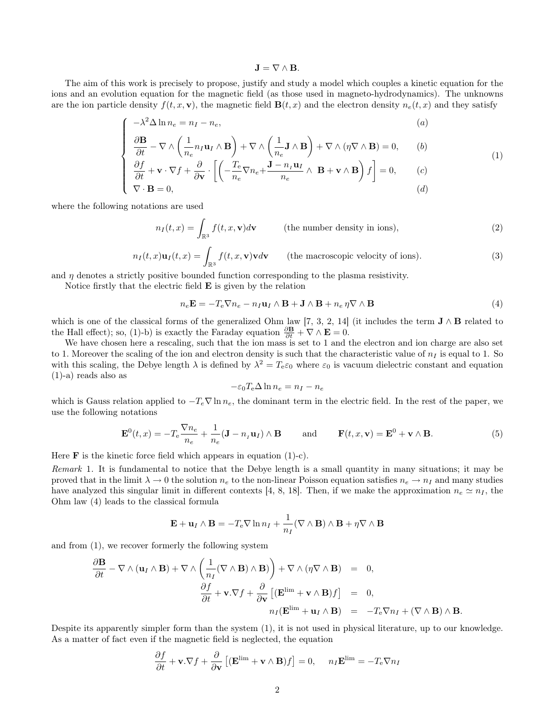### $J = \nabla \wedge B$ .

The aim of this work is precisely to propose, justify and study a model which couples a kinetic equation for the ions and an evolution equation for the magnetic field (as those used in magneto-hydrodynamics). The unknowns are the ion particle density  $f(t, x, v)$ , the magnetic field  $\mathbf{B}(t, x)$  and the electron density  $n_e(t, x)$  and they satisfy

$$
\int -\lambda^2 \Delta \ln n_e = n_I - n_e,\tag{a}
$$

$$
\frac{\partial \mathbf{B}}{\partial t} - \nabla \wedge \left( \frac{1}{n_e} n_I \mathbf{u}_I \wedge \mathbf{B} \right) + \nabla \wedge \left( \frac{1}{n_e} \mathbf{J} \wedge \mathbf{B} \right) + \nabla \wedge (\eta \nabla \wedge \mathbf{B}) = 0, \qquad (b)
$$

$$
\begin{bmatrix}\n\frac{\partial f}{\partial t} + \mathbf{v} \cdot \nabla f + \frac{\partial}{\partial \mathbf{v}} \cdot \left[ \left( -\frac{T_e}{n_e} \nabla n_e + \frac{\mathbf{J} - n_I \mathbf{u}_I}{n_e} \wedge \mathbf{B} + \mathbf{v} \wedge \mathbf{B} \right) f \right] = 0, \quad (c) \\
\nabla \cdot \mathbf{B} = 0,\quad (d)\n\end{bmatrix}
$$

where the following notations are used

$$
n_I(t,x) = \int_{\mathbb{R}^3} f(t,x,\mathbf{v})d\mathbf{v}
$$
 (the number density in ions), (2)

$$
n_I(t,x)\mathbf{u}_I(t,x) = \int_{\mathbb{R}^3} f(t,x,\mathbf{v})\mathbf{v}d\mathbf{v} \qquad \text{(the macroscopic velocity of ions)}.
$$
 (3)

and  $\eta$  denotes a strictly positive bounded function corresponding to the plasma resistivity.

Notice firstly that the electric field  $E$  is given by the relation

$$
n_e \mathbf{E} = -T_e \nabla n_e - n_I \mathbf{u}_I \wedge \mathbf{B} + \mathbf{J} \wedge \mathbf{B} + n_e \eta \nabla \wedge \mathbf{B}
$$
(4)

which is one of the classical forms of the generalized Ohm law [7, 3, 2, 14] (it includes the term  $J \wedge B$  related to the Hall effect); so, (1)-b) is exactly the Faraday equation  $\frac{\partial \mathbf{B}}{\partial t} + \nabla \wedge \mathbf{E} = 0$ .

We have chosen here a rescaling, such that the ion mass is set to 1 and the electron and ion charge are also set to 1. Moreover the scaling of the ion and electron density is such that the characteristic value of  $n<sub>I</sub>$  is equal to 1. So with this scaling, the Debye length  $\lambda$  is defined by  $\lambda^2 = T_e \varepsilon_0$  where  $\varepsilon_0$  is vacuum dielectric constant and equation (1)-a) reads also as

$$
-\varepsilon_0 T_e \Delta \ln n_e = n_I - n_e
$$

which is Gauss relation applied to  $-T_e\nabla \ln n_e$ , the dominant term in the electric field. In the rest of the paper, we use the following notations

$$
\mathbf{E}^{0}(t,x) = -T_{e}\frac{\nabla n_{e}}{n_{e}} + \frac{1}{n_{e}}(\mathbf{J} - n_{I}\mathbf{u}_{I}) \wedge \mathbf{B} \quad \text{and} \quad \mathbf{F}(t,x,\mathbf{v}) = \mathbf{E}^{0} + \mathbf{v} \wedge \mathbf{B}.
$$
 (5)

Here  $\bf{F}$  is the kinetic force field which appears in equation (1)-c).

Remark 1. It is fundamental to notice that the Debye length is a small quantity in many situations; it may be proved that in the limit  $\lambda \to 0$  the solution  $n_e$  to the non-linear Poisson equation satisfies  $n_e \to n_I$  and many studies have analyzed this singular limit in different contexts [4, 8, 18]. Then, if we make the approximation  $n_e \simeq n_I$ , the Ohm law (4) leads to the classical formula

$$
\mathbf{E} + \mathbf{u}_I \wedge \mathbf{B} = -T_e \nabla \ln n_I + \frac{1}{n_I} (\nabla \wedge \mathbf{B}) \wedge \mathbf{B} + \eta \nabla \wedge \mathbf{B}
$$

and from (1), we recover formerly the following system

$$
\frac{\partial \mathbf{B}}{\partial t} - \nabla \wedge (\mathbf{u}_I \wedge \mathbf{B}) + \nabla \wedge \left(\frac{1}{n_I} (\nabla \wedge \mathbf{B}) \wedge \mathbf{B}\right) + \nabla \wedge (\eta \nabla \wedge \mathbf{B}) = 0,
$$
  

$$
\frac{\partial f}{\partial t} + \mathbf{v} \cdot \nabla f + \frac{\partial}{\partial \mathbf{v}} \left[ (\mathbf{E}^{\lim} + \mathbf{v} \wedge \mathbf{B}) f \right] = 0,
$$
  

$$
n_I (\mathbf{E}^{\lim} + \mathbf{u}_I \wedge \mathbf{B}) = -T_e \nabla n_I + (\nabla \wedge \mathbf{B}) \wedge \mathbf{B}.
$$

Despite its apparently simpler form than the system (1), it is not used in physical literature, up to our knowledge. As a matter of fact even if the magnetic field is neglected, the equation

$$
\frac{\partial f}{\partial t} + \mathbf{v}.\nabla f + \frac{\partial}{\partial \mathbf{v}} \left[ (\mathbf{E}^{\lim} + \mathbf{v} \wedge \mathbf{B})f \right] = 0, \quad n_I \mathbf{E}^{\lim} = -T_e \nabla n_I
$$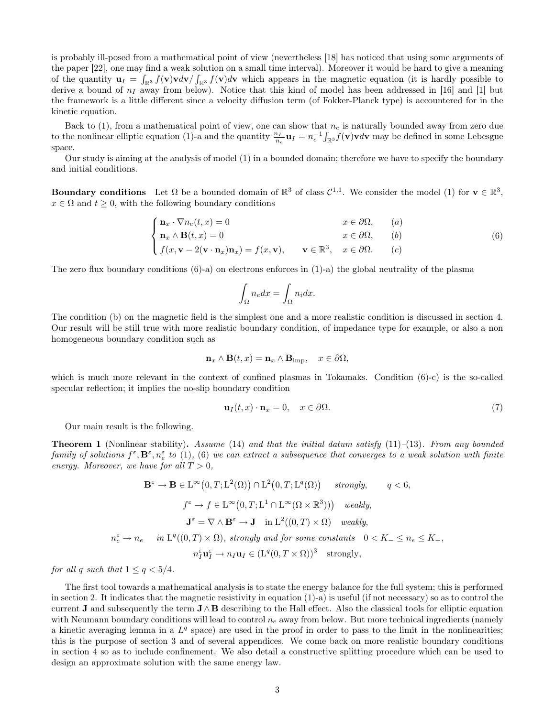is probably ill-posed from a mathematical point of view (nevertheless [18] has noticed that using some arguments of the paper [22], one may find a weak solution on a small time interval). Moreover it would be hard to give a meaning of the quantity  $\mathbf{u}_I = \int_{\mathbb{R}^3} f(\mathbf{v}) \mathbf{v} d\mathbf{v} / \int_{\mathbb{R}^3} f(\mathbf{v}) d\mathbf{v}$  which appears in the magnetic equation (it is hardly possible to derive a bound of  $n<sub>I</sub>$  away from below). Notice that this kind of model has been addressed in [16] and [1] but the framework is a little different since a velocity diffusion term (of Fokker-Planck type) is accountered for in the kinetic equation.

Back to (1), from a mathematical point of view, one can show that  $n_e$  is naturally bounded away from zero due to the nonlinear elliptic equation (1)-a and the quantity  $\frac{n_I}{n_e} \mathbf{u}_I = n_e^{-1} \int_{\mathbb{R}^3} f(\mathbf{v}) \mathbf{v} d\mathbf{v}$  may be defined in some Lebesgue space.

Our study is aiming at the analysis of model (1) in a bounded domain; therefore we have to specify the boundary and initial conditions.

**Boundary conditions** Let  $\Omega$  be a bounded domain of  $\mathbb{R}^3$  of class  $\mathcal{C}^{1,1}$ . We consider the model (1) for  $\mathbf{v} \in \mathbb{R}^3$ ,  $x \in \Omega$  and  $t \geq 0$ , with the following boundary conditions

$$
\begin{cases}\n\mathbf{n}_x \cdot \nabla n_e(t, x) = 0 & x \in \partial \Omega, \quad (a) \\
\mathbf{n}_x \wedge \mathbf{B}(t, x) = 0 & x \in \partial \Omega, \quad (b) \\
f(x, \mathbf{v} - 2(\mathbf{v} \cdot \mathbf{n}_x)\mathbf{n}_x) = f(x, \mathbf{v}), & \mathbf{v} \in \mathbb{R}^3, \quad x \in \partial \Omega. \quad (c)\n\end{cases}
$$
\n(6)

The zero flux boundary conditions  $(6)$ -a) on electrons enforces in  $(1)$ -a) the global neutrality of the plasma

$$
\int_{\Omega} n_e dx = \int_{\Omega} n_i dx.
$$

The condition (b) on the magnetic field is the simplest one and a more realistic condition is discussed in section 4. Our result will be still true with more realistic boundary condition, of impedance type for example, or also a non homogeneous boundary condition such as

$$
\mathbf{n}_x \wedge \mathbf{B}(t,x) = \mathbf{n}_x \wedge \mathbf{B}_{\text{imp}}, \quad x \in \partial \Omega,
$$

which is much more relevant in the context of confined plasmas in Tokamaks. Condition (6)-c) is the so-called specular reflection; it implies the no-slip boundary condition

$$
\mathbf{u}_I(t,x) \cdot \mathbf{n}_x = 0, \quad x \in \partial \Omega. \tag{7}
$$

Our main result is the following.

**Theorem 1** (Nonlinear stability). Assume (14) and that the initial datum satisfy (11)–(13). From any bounded  $family$  of solutions  $f^\varepsilon, \mathbf{B}^\varepsilon, n^\varepsilon_e$  to  $(1)$ ,  $(6)$  we can extract a subsequence that converges to a weak solution with finite energy. Moreover, we have for all  $T > 0$ ,

$$
\mathbf{B}^{\varepsilon} \to \mathbf{B} \in \mathcal{L}^{\infty}(0, T; \mathcal{L}^{2}(\Omega)) \cap \mathcal{L}^{2}(0, T; \mathcal{L}^{q}(\Omega)) \quad \text{strongly}, \qquad q < 6,
$$
\n
$$
f^{\varepsilon} \to f \in \mathcal{L}^{\infty}(0, T; \mathcal{L}^{1} \cap \mathcal{L}^{\infty}(\Omega \times \mathbb{R}^{3}))) \quad \text{weakly},
$$
\n
$$
\mathbf{J}^{\varepsilon} = \nabla \wedge \mathbf{B}^{\varepsilon} \to \mathbf{J} \quad \text{in } \mathcal{L}^{2}((0, T) \times \Omega) \quad \text{weakly},
$$
\n
$$
n_{e}^{\varepsilon} \to n_{e} \quad \text{in } \mathcal{L}^{q}((0, T) \times \Omega), \text{ strongly and for some constants } 0 < K_{-} \leq n_{e} \leq K_{+},
$$
\n
$$
n_{I}^{\varepsilon} \mathbf{u}_{I}^{\varepsilon} \to n_{I} \mathbf{u}_{I} \in (\mathcal{L}^{q}(0, T \times \Omega))^{3} \quad \text{strongly},
$$

for all q such that  $1 \leq q < 5/4$ .

The first tool towards a mathematical analysis is to state the energy balance for the full system; this is performed in section 2. It indicates that the magnetic resistivity in equation  $(1)-a$ ) is useful (if not necessary) so as to control the current **J** and subsequently the term  $J \wedge B$  describing to the Hall effect. Also the classical tools for elliptic equation with Neumann boundary conditions will lead to control  $n_e$  away from below. But more technical ingredients (namely a kinetic averaging lemma in a  $L<sup>q</sup>$  space) are used in the proof in order to pass to the limit in the nonlinearities; this is the purpose of section 3 and of several appendices. We come back on more realistic boundary conditions in section 4 so as to include confinement. We also detail a constructive splitting procedure which can be used to design an approximate solution with the same energy law.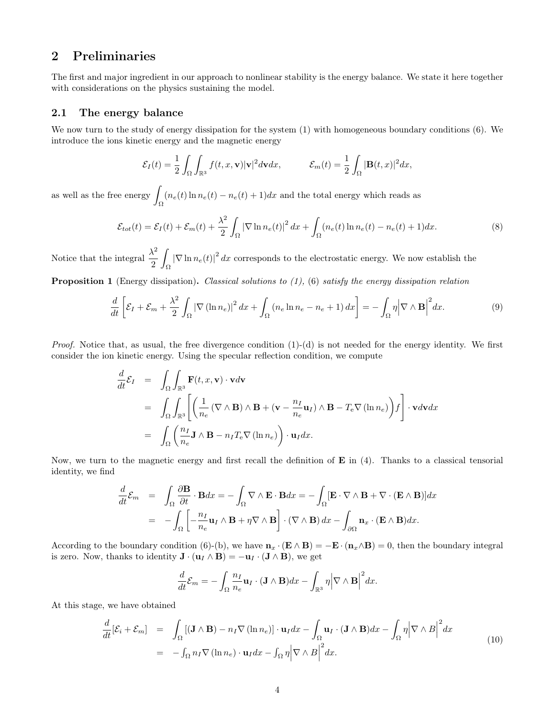## 2 Preliminaries

The first and major ingredient in our approach to nonlinear stability is the energy balance. We state it here together with considerations on the physics sustaining the model.

### 2.1 The energy balance

We now turn to the study of energy dissipation for the system (1) with homogeneous boundary conditions (6). We introduce the ions kinetic energy and the magnetic energy

$$
\mathcal{E}_I(t) = \frac{1}{2} \int_{\Omega} \int_{\mathbb{R}^3} f(t, x, \mathbf{v}) |\mathbf{v}|^2 d\mathbf{v} dx, \qquad \mathcal{E}_m(t) = \frac{1}{2} \int_{\Omega} |\mathbf{B}(t, x)|^2 dx,
$$

as well as the free energy  $\int_{\Omega} (n_e(t) \ln n_e(t) - n_e(t) + 1) dx$  and the total energy which reads as

$$
\mathcal{E}_{tot}(t) = \mathcal{E}_I(t) + \mathcal{E}_m(t) + \frac{\lambda^2}{2} \int_{\Omega} |\nabla \ln n_e(t)|^2 dx + \int_{\Omega} (n_e(t) \ln n_e(t) - n_e(t) + 1) dx.
$$
 (8)

Notice that the integral  $\frac{\lambda^2}{2}$ 2 Z  $\int_{\Omega} |\nabla \ln n_e(t)|^2 dx$  corresponds to the electrostatic energy. We now establish the

**Proposition 1** (Energy dissipation). Classical solutions to  $(1)$ ,  $(6)$  satisfy the energy dissipation relation

$$
\frac{d}{dt}\left[\mathcal{E}_I + \mathcal{E}_m + \frac{\lambda^2}{2} \int_{\Omega} |\nabla (\ln n_e)|^2 dx + \int_{\Omega} (n_e \ln n_e - n_e + 1) dx\right] = -\int_{\Omega} \eta \left|\nabla \wedge \mathbf{B}\right|^2 dx.
$$
\n(9)

*Proof.* Notice that, as usual, the free divergence condition  $(1)-(d)$  is not needed for the energy identity. We first consider the ion kinetic energy. Using the specular reflection condition, we compute

$$
\frac{d}{dt}\mathcal{E}_I = \int_{\Omega} \int_{\mathbb{R}^3} \mathbf{F}(t, x, \mathbf{v}) \cdot \mathbf{v} d\mathbf{v}
$$
\n
$$
= \int_{\Omega} \int_{\mathbb{R}^3} \left[ \left( \frac{1}{n_e} (\nabla \wedge \mathbf{B}) \wedge \mathbf{B} + (\mathbf{v} - \frac{n_I}{n_e} \mathbf{u}_I) \wedge \mathbf{B} - T_e \nabla (\ln n_e) \right) f \right] \cdot \mathbf{v} d\mathbf{v} dx
$$
\n
$$
= \int_{\Omega} \left( \frac{n_I}{n_e} \mathbf{J} \wedge \mathbf{B} - n_I T_e \nabla (\ln n_e) \right) \cdot \mathbf{u}_I dx.
$$

Now, we turn to the magnetic energy and first recall the definition of  $\bf{E}$  in (4). Thanks to a classical tensorial identity, we find

$$
\frac{d}{dt}\mathcal{E}_m = \int_{\Omega} \frac{\partial \mathbf{B}}{\partial t} \cdot \mathbf{B} dx = -\int_{\Omega} \nabla \wedge \mathbf{E} \cdot \mathbf{B} dx = -\int_{\Omega} [\mathbf{E} \cdot \nabla \wedge \mathbf{B} + \nabla \cdot (\mathbf{E} \wedge \mathbf{B})] dx
$$

$$
= -\int_{\Omega} \left[ -\frac{n_I}{n_e} \mathbf{u}_I \wedge \mathbf{B} + \eta \nabla \wedge \mathbf{B} \right] \cdot (\nabla \wedge \mathbf{B}) dx - \int_{\partial \Omega} \mathbf{n}_x \cdot (\mathbf{E} \wedge \mathbf{B}) dx.
$$

According to the boundary condition (6)-(b), we have  $\mathbf{n}_x \cdot (\mathbf{E} \wedge \mathbf{B}) = -\mathbf{E} \cdot (\mathbf{n}_x \wedge \mathbf{B}) = 0$ , then the boundary integral is zero. Now, thanks to identity  $\mathbf{J} \cdot (\mathbf{u}_I \wedge \mathbf{B}) = -\mathbf{u}_I \cdot (\mathbf{J} \wedge \mathbf{B})$ , we get

$$
\frac{d}{dt}\mathcal{E}_m = -\int_{\Omega} \frac{n_I}{n_e} \mathbf{u}_I \cdot (\mathbf{J} \wedge \mathbf{B}) dx - \int_{\mathbb{R}^3} \eta \Big|\nabla \wedge \mathbf{B}\Big|^2 dx.
$$

At this stage, we have obtained

$$
\frac{d}{dt}[\mathcal{E}_i + \mathcal{E}_m] = \int_{\Omega} [(\mathbf{J} \wedge \mathbf{B}) - n_I \nabla (\ln n_e)] \cdot \mathbf{u}_I dx - \int_{\Omega} \mathbf{u}_I \cdot (\mathbf{J} \wedge \mathbf{B}) dx - \int_{\Omega} \eta \Big| \nabla \wedge B \Big|^2 dx
$$
\n
$$
= - \int_{\Omega} n_I \nabla (\ln n_e) \cdot \mathbf{u}_I dx - \int_{\Omega} \eta \Big| \nabla \wedge B \Big|^2 dx.
$$
\n(10)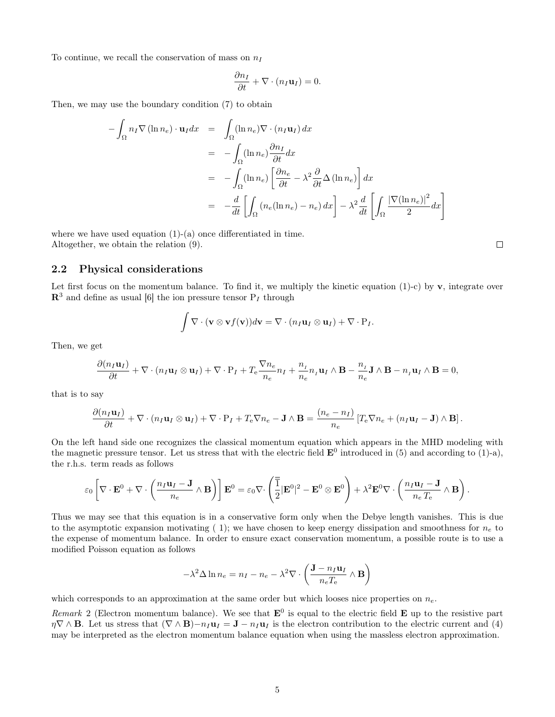To continue, we recall the conservation of mass on  $n_I$ 

$$
\frac{\partial n_I}{\partial t} + \nabla \cdot (n_I \mathbf{u}_I) = 0.
$$

Then, we may use the boundary condition (7) to obtain

$$
-\int_{\Omega} n_I \nabla (\ln n_e) \cdot \mathbf{u}_I dx = \int_{\Omega} (\ln n_e) \nabla \cdot (n_I \mathbf{u}_I) dx
$$
  

$$
= -\int_{\Omega} (\ln n_e) \frac{\partial n_I}{\partial t} dx
$$
  

$$
= -\int_{\Omega} (\ln n_e) \left[ \frac{\partial n_e}{\partial t} - \lambda^2 \frac{\partial}{\partial t} \Delta (\ln n_e) \right] dx
$$
  

$$
= -\frac{d}{dt} \left[ \int_{\Omega} (n_e (\ln n_e) - n_e) dx \right] - \lambda^2 \frac{d}{dt} \left[ \int_{\Omega} \frac{|\nabla (\ln n_e)|^2}{2} dx \right]
$$

where we have used equation  $(1)-(a)$  once differentiated in time. Altogether, we obtain the relation (9).

#### 2.2 Physical considerations

Let first focus on the momentum balance. To find it, we multiply the kinetic equation (1)-c) by  $\bf{v}$ , integrate over  $\mathbb{R}^3$  and define as usual [6] the ion pressure tensor  $P_I$  through

$$
\int \nabla \cdot (\mathbf{v} \otimes \mathbf{v} f(\mathbf{v})) d\mathbf{v} = \nabla \cdot (n_I \mathbf{u}_I \otimes \mathbf{u}_I) + \nabla \cdot \mathbf{P}_I.
$$

Then, we get

$$
\frac{\partial (n_I \mathbf{u}_I)}{\partial t} + \nabla \cdot (n_I \mathbf{u}_I \otimes \mathbf{u}_I) + \nabla \cdot \mathbf{P}_I + T_e \frac{\nabla n_e}{n_e} n_I + \frac{n_I}{n_e} n_I \mathbf{u}_I \wedge \mathbf{B} - \frac{n_I}{n_e} \mathbf{J} \wedge \mathbf{B} - n_I \mathbf{u}_I \wedge \mathbf{B} = 0,
$$

that is to say

$$
\frac{\partial (n_I \mathbf{u}_I)}{\partial t} + \nabla \cdot (n_I \mathbf{u}_I \otimes \mathbf{u}_I) + \nabla \cdot \mathbf{P}_I + T_e \nabla n_e - \mathbf{J} \wedge \mathbf{B} = \frac{(n_e - n_I)}{n_e} \left[ T_e \nabla n_e + (n_I \mathbf{u}_I - \mathbf{J}) \wedge \mathbf{B} \right].
$$

On the left hand side one recognizes the classical momentum equation which appears in the MHD modeling with the magnetic pressure tensor. Let us stress that with the electric field  $\mathbf{E}^0$  introduced in (5) and according to (1)-a), the r.h.s. term reads as follows

$$
\varepsilon_0 \left[ \nabla \cdot \mathbf{E}^0 + \nabla \cdot \left( \frac{n_I \mathbf{u}_I - \mathbf{J}}{n_e} \wedge \mathbf{B} \right) \right] \mathbf{E}^0 = \varepsilon_0 \nabla \cdot \left( \frac{\overline{\overline{1}}}{2} |\mathbf{E}^0|^2 - \mathbf{E}^0 \otimes \mathbf{E}^0 \right) + \lambda^2 \mathbf{E}^0 \nabla \cdot \left( \frac{n_I \mathbf{u}_I - \mathbf{J}}{n_e T_e} \wedge \mathbf{B} \right).
$$

Thus we may see that this equation is in a conservative form only when the Debye length vanishes. This is due to the asymptotic expansion motivating (1); we have chosen to keep energy dissipation and smoothness for  $n_e$  to the expense of momentum balance. In order to ensure exact conservation momentum, a possible route is to use a modified Poisson equation as follows

$$
-\lambda^2 \Delta \ln n_e = n_I - n_e - \lambda^2 \nabla \cdot \left(\frac{\mathbf{J} - n_I \mathbf{u}_I}{n_e T_e} \wedge \mathbf{B}\right)
$$

which corresponds to an approximation at the same order but which looses nice properties on  $n_e$ .

Remark 2 (Electron momentum balance). We see that  $E^0$  is equal to the electric field **E** up to the resistive part  $\eta \nabla \wedge \mathbf{B}$ . Let us stress that  $(\nabla \wedge \mathbf{B})-\eta_I \mathbf{u}_I = \mathbf{J} - \eta_I \mathbf{u}_I$  is the electron contribution to the electric current and (4) may be interpreted as the electron momentum balance equation when using the massless electron approximation.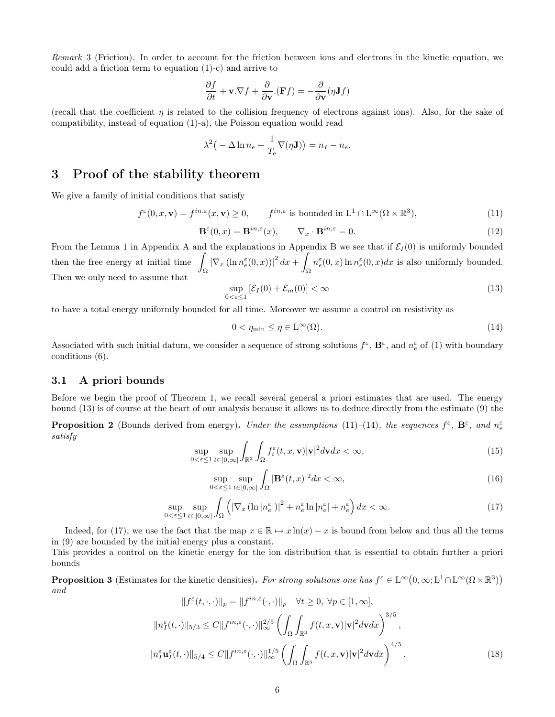Remark 3 (Friction). In order to account for the friction between ions and electrons in the kinetic equation, we could add a friction term to equation (1)-c) and arrive to

$$
\frac{\partial f}{\partial t} + \mathbf{v}.\nabla f + \frac{\partial}{\partial \mathbf{v}}.(\mathbf{F}f) = -\frac{\partial}{\partial \mathbf{v}}(\eta \mathbf{J}f)
$$

(recall that the coefficient  $\eta$  is related to the collision frequency of electrons against ions). Also, for the sake of compatibility, instead of equation (1)-a), the Poisson equation would read

$$
\lambda^{2} \big(-\Delta \ln n_{e} + \frac{1}{T_{e}} \nabla(\eta \mathbf{J})\big) = n_{I} - n_{e}.
$$

## 3 Proof of the stability theorem

We give a family of initial conditions that satisfy

$$
f^{\varepsilon}(0, x, \mathbf{v}) = f^{in, \varepsilon}(x, \mathbf{v}) \ge 0, \qquad f^{in, \varepsilon} \text{ is bounded in } \mathcal{L}^{1} \cap \mathcal{L}^{\infty}(\Omega \times \mathbb{R}^{3}), \tag{11}
$$

$$
\mathbf{B}^{\varepsilon}(0,x) = \mathbf{B}^{in,\varepsilon}(x), \qquad \nabla_x \cdot \mathbf{B}^{in,\varepsilon} = 0.
$$
 (12)

From the Lemma 1 in Appendix A and the explanations in Appendix B we see that if  $\mathcal{E}_I(0)$  is uniformly bounded then the free energy at initial time  $\int$  $\int_{\Omega}\left\vert \nabla_{x}\left(\ln n^{\varepsilon}_{e}(0,x)\right)\right\vert ^{2}dx+\int$ Ω  $n_e^{\varepsilon}(0, x) \ln n_e^{\varepsilon}(0, x) dx$  is also uniformly bounded. Then we only need to assume that

$$
\sup_{0 < \varepsilon \le 1} \left[ \mathcal{E}_I(0) + \mathcal{E}_m(0) \right] < \infty \tag{13}
$$

to have a total energy uniformly bounded for all time. Moreover we assume a control on resistivity as

$$
0 < \eta_{\min} \le \eta \in L^{\infty}(\Omega). \tag{14}
$$

Associated with such initial datum, we consider a sequence of strong solutions  $f^{\varepsilon}$ ,  $\mathbf{B}^{\varepsilon}$ , and  $n_e^{\varepsilon}$  of (1) with boundary conditions (6).

#### 3.1 A priori bounds

Before we begin the proof of Theorem 1, we recall several general a priori estimates that are used. The energy bound (13) is of course at the heart of our analysis because it allows us to deduce directly from the estimate (9) the

**Proposition 2** (Bounds derived from energy). Under the assumptions (11)-(14), the sequences  $f^{\varepsilon}$ ,  $\mathbf{B}^{\varepsilon}$ , and  $n_{e}^{\varepsilon}$ satisfy

$$
\sup_{0 < \varepsilon \le 1} \sup_{t \in [0,\infty]} \int_{\mathbb{R}^3} \int_{\Omega} f_i^{\varepsilon}(t,x,\mathbf{v}) |\mathbf{v}|^2 d\mathbf{v} dx < \infty,\tag{15}
$$

$$
\sup_{0 < \varepsilon \le 1} \sup_{t \in [0,\infty]} \int_{\Omega} |\mathbf{B}^{\varepsilon}(t,x)|^2 dx < \infty,\tag{16}
$$

$$
\sup_{0 < \varepsilon \le 1} \sup_{t \in [0,\infty]} \int_{\Omega} \left( \left| \nabla_x \left( \ln |n_e^{\varepsilon}| \right) \right|^2 + n_e^{\varepsilon} \ln |n_e^{\varepsilon}| + n_e^{\varepsilon} \right) dx < \infty. \tag{17}
$$

Indeed, for (17), we use the fact that the map  $x \in \mathbb{R} \mapsto x \ln(x) - x$  is bound from below and thus all the terms in (9) are bounded by the initial energy plus a constant.

This provides a control on the kinetic energy for the ion distribution that is essential to obtain further a priori bounds

**Proposition 3** (Estimates for the kinetic densities). For strong solutions one has  $f^{\varepsilon} \in L^{\infty}(0, \infty; L^{1} \cap L^{\infty}(\Omega \times \mathbb{R}^{3}))$ and

$$
||f^{\varepsilon}(t,\cdot,\cdot)||_{p} = ||f^{in,\varepsilon}(\cdot,\cdot)||_{p} \quad \forall t \ge 0, \ \forall p \in [1,\infty],
$$
  

$$
||n_{I}^{\varepsilon}(t,\cdot)||_{5/3} \le C||f^{in,\varepsilon}(\cdot,\cdot)||_{\infty}^{2/5} \left(\int_{\Omega} \int_{\mathbb{R}^{3}} f(t,x,\mathbf{v})|\mathbf{v}|^{2}d\mathbf{v}d x\right)^{3/5},
$$
  

$$
||n_{I}^{\varepsilon}\mathbf{u}_{I}^{\varepsilon}(t,\cdot)||_{5/4} \le C||f^{in,\varepsilon}(\cdot,\cdot)||_{\infty}^{1/5} \left(\int_{\Omega} \int_{\mathbb{R}^{3}} f(t,x,\mathbf{v})|\mathbf{v}|^{2}d\mathbf{v}d x\right)^{4/5}.
$$
 (18)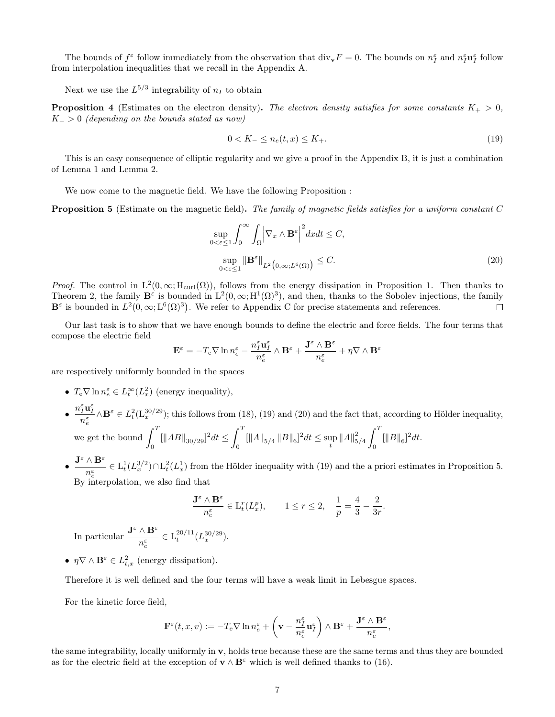The bounds of  $f^{\varepsilon}$  follow immediately from the observation that  $\text{div}_{\mathbf{v}}F = 0$ . The bounds on  $n_{I}^{\varepsilon}$  and  $n_{I}^{\varepsilon}\mathbf{u}_{I}^{\varepsilon}$  follow from interpolation inequalities that we recall in the Appendix A.

Next we use the  $L^{5/3}$  integrability of  $n_I$  to obtain

**Proposition 4** (Estimates on the electron density). The electron density satisfies for some constants  $K_{+} > 0$ ,  $K_$  > 0 (depending on the bounds stated as now)

$$
0 < K_- \le n_e(t, x) \le K_+.\tag{19}
$$

This is an easy consequence of elliptic regularity and we give a proof in the Appendix B, it is just a combination of Lemma 1 and Lemma 2.

We now come to the magnetic field. We have the following Proposition :

Proposition 5 (Estimate on the magnetic field). The family of magnetic fields satisfies for a uniform constant C

$$
\sup_{0 < \varepsilon \le 1} \int_0^\infty \int_{\Omega} \left| \nabla_x \wedge \mathbf{B}^\varepsilon \right|^2 dx dt \le C,
$$
\n
$$
\sup_{0 < \varepsilon \le 1} \left\| \mathbf{B}^\varepsilon \right\|_{L^2 \left( 0, \infty; L^6(\Omega) \right)} \le C. \tag{20}
$$

*Proof.* The control in  $L^2(0,\infty; H_{\text{curl}}(\Omega))$ , follows from the energy dissipation in Proposition 1. Then thanks to Theorem 2, the family  $\mathbf{B}^{\varepsilon}$  is bounded in  $L^2(0,\infty;\mathrm{H}^1(\Omega)^3)$ , and then, thanks to the Sobolev injections, the family  $\mathbf{B}^{\varepsilon}$  is bounded in  $L^2(0,\infty;L^6(\Omega)^3)$ . We refer to Appendix C for precise statements and references.  $\Box$ 

Our last task is to show that we have enough bounds to define the electric and force fields. The four terms that compose the electric field

$$
\mathbf{E}^\varepsilon = -T_\mathrm{e} \nabla \ln n^\varepsilon_e - \frac{n^\varepsilon_I \mathbf{u}^\varepsilon_I}{n^\varepsilon_e} \wedge \mathbf{B}^\varepsilon + \frac{\mathbf{J}^\varepsilon \wedge \mathbf{B}^\varepsilon}{n^\varepsilon_e} + \eta \nabla \wedge \mathbf{B}^\varepsilon
$$

are respectively uniformly bounded in the spaces

- $T_e \nabla \ln n_e^{\varepsilon} \in L_t^{\infty}(L_x^2)$  (energy inequality),
- $\bullet$   $\frac{n_{I}^{\varepsilon}\mathbf{u}_{I}^{\varepsilon}}{n_{e}^{\varepsilon}}$  $\wedge \mathbf{B}^{\varepsilon} \in L^2_t(\mathbf{L}^{30/29}_x);$  this follows from (18), (19) and (20) and the fact that, according to Hölder inequality, we get the bound  $\int_1^T$  $\int_0^T [\|AB\|_{30/29}]^2 dt \leq \int_0^T$  $\int\limits_0^t \, \left[ \left\| A \right\|_{5/4} \, \Vert B \Vert_6 \right]^2 dt \leq \sup_t \left\| A \right\|_{5/4}^2$  $\int_0^T$  $\int_{0}^{t} \|B\|_{6}^{2} dt.$
- $\bullet$   $\frac{\mathbf{J}^{\varepsilon} \wedge \mathbf{B}^{\varepsilon}}{\varepsilon}$  $\frac{\partial^2 L}{\partial n_{\epsilon}^{\epsilon}} \in L_t^1(L_x^{3/2}) \cap L_t^2(L_x^1)$  from the Hölder inequality with (19) and the a priori estimates in Proposition 5.  $B_y$  interpolation, we also find that

$$
\frac{{\mathbf J}^\varepsilon\wedge{\mathbf B}^\varepsilon}{n^\varepsilon_e}\in {\rm L}^r_t(L^p_x),\qquad 1\leq r\leq 2,\quad \frac{1}{p}=\frac{4}{3}-\frac{2}{3r}.
$$

In particular  $\frac{\mathbf{J}^{\varepsilon} \wedge \mathbf{B}^{\varepsilon}}{\varepsilon}$  $n_e^{\varepsilon}$  $\in L^{20/11}_t (L^{30/29}_x).$ 

•  $\eta \nabla \wedge \mathbf{B}^{\varepsilon} \in L^2_{t,x}$  (energy dissipation).

Therefore it is well defined and the four terms will have a weak limit in Lebesgue spaces.

For the kinetic force field,

$$
\mathbf{F}^\varepsilon(t,x,v):=-T_{\rm e}\nabla\ln n^\varepsilon_e+\left(\mathbf{v}-\frac{n^\varepsilon_I}{n^\varepsilon_e}\mathbf{u}^\varepsilon_I\right)\wedge\mathbf{B}^\varepsilon+\frac{\mathbf{J}^\varepsilon\wedge\mathbf{B}^\varepsilon}{n^\varepsilon_e},
$$

the same integrability, locally uniformly in v, holds true because these are the same terms and thus they are bounded as for the electric field at the exception of  $\mathbf{v} \wedge \mathbf{B}^{\varepsilon}$  which is well defined thanks to (16).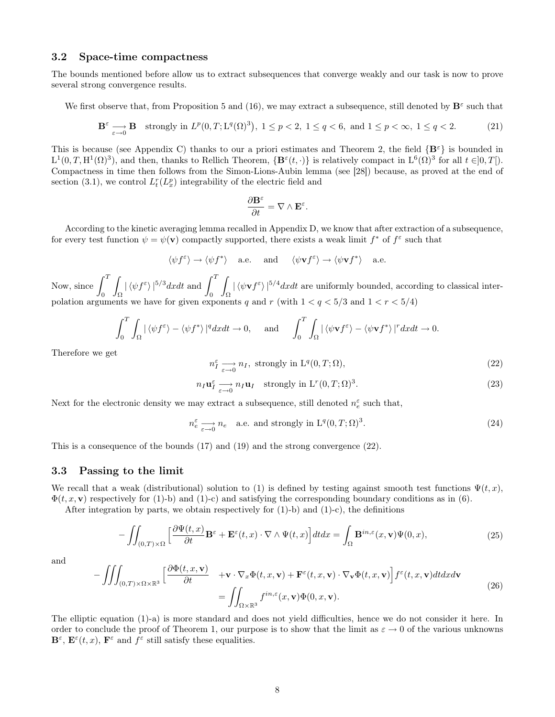#### 3.2 Space-time compactness

The bounds mentioned before allow us to extract subsequences that converge weakly and our task is now to prove several strong convergence results.

We first observe that, from Proposition 5 and (16), we may extract a subsequence, still denoted by  $\mathbf{B}^{\varepsilon}$  such that

$$
\mathbf{B}^{\varepsilon} \underset{\varepsilon \to 0}{\longrightarrow} \mathbf{B} \quad \text{strongly in } L^p(0, T; \mathbf{L}^q(\Omega)^3), \ 1 \le p < 2, \ 1 \le q < 6, \text{ and } 1 \le p < \infty, \ 1 \le q < 2. \tag{21}
$$

.

This is because (see Appendix C) thanks to our a priori estimates and Theorem 2, the field  $\{B^{\varepsilon}\}\$ is bounded in  $L^1(0,T,H^1(\Omega)^3)$ , and then, thanks to Rellich Theorem,  $\{B^\varepsilon(t,\cdot)\}\$ is relatively compact in  $L^6(\Omega)^3$  for all  $t \in ]0,T[$ . Compactness in time then follows from the Simon-Lions-Aubin lemma (see [28]) because, as proved at the end of section (3.1), we control  $L_t^r(L_x^p)$  integrability of the electric field and

$$
\frac{\partial \mathbf{B}^\varepsilon}{\partial t} = \nabla \wedge \mathbf{E}^\varepsilon
$$

According to the kinetic averaging lemma recalled in Appendix D, we know that after extraction of a subsequence, for every test function  $\psi = \psi(\mathbf{v})$  compactly supported, there exists a weak limit  $f^*$  of  $f^{\varepsilon}$  such that

$$
\langle \psi f^{\varepsilon} \rangle \to \langle \psi f^* \rangle
$$
 a.e. and  $\langle \psi \mathbf{v} f^{\varepsilon} \rangle \to \langle \psi \mathbf{v} f^* \rangle$  a.e.

Now, since  $\int_0^T$ 0 Z Ω  $|\braket{\psi f^{\varepsilon}}|^{5/3} dxdt$  and  $\int_0^T$ 0 Z Ω  $|\langle \psi \mathbf{v} f^{\varepsilon} \rangle|^{5/4} dx dt$  are uniformly bounded, according to classical interpolation arguments we have for given exponents q and r (with  $1 < q < 5/3$  and  $1 < r < 5/4$ )

$$
\int_0^T \int_{\Omega} |\langle \psi f^{\varepsilon} \rangle - \langle \psi f^* \rangle|^q dx dt \to 0, \quad \text{and} \quad \int_0^T \int_{\Omega} |\langle \psi \mathbf{v} f^{\varepsilon} \rangle - \langle \psi \mathbf{v} f^* \rangle|^r dx dt \to 0.
$$

Therefore we get

$$
n_I^{\varepsilon} \underset{\varepsilon \to 0}{\longrightarrow} n_I, \text{ strongly in } \mathcal{L}^q(0, T; \Omega), \tag{22}
$$

$$
n_I \mathbf{u}_I^{\varepsilon} \longrightarrow n_I \mathbf{u}_I \quad \text{strongly in } \mathcal{L}^r(0,T;\Omega)^3. \tag{23}
$$

Next for the electronic density we may extract a subsequence, still denoted  $n_e^\varepsilon$  such that,

$$
n_e^{\varepsilon} \longrightarrow_{e \to 0} n_e \quad \text{a.e. and strongly in } \mathcal{L}^q(0,T;\Omega)^3. \tag{24}
$$

This is a consequence of the bounds (17) and (19) and the strong convergence (22).

#### 3.3 Passing to the limit

We recall that a weak (distributional) solution to (1) is defined by testing against smooth test functions  $\Psi(t, x)$ ,  $\Phi(t, x, v)$  respectively for (1)-b) and (1)-c) and satisfying the corresponding boundary conditions as in (6).

After integration by parts, we obtain respectively for  $(1)-b$ ) and  $(1)-c$ ), the definitions

$$
-\iint_{(0,T)\times\Omega} \left[ \frac{\partial \Psi(t,x)}{\partial t} \mathbf{B}^{\varepsilon} + \mathbf{E}^{\varepsilon}(t,x) \cdot \nabla \wedge \Psi(t,x) \right] dt dx = \int_{\Omega} \mathbf{B}^{in,\varepsilon}(x,\mathbf{v}) \Psi(0,x),\tag{25}
$$

and

$$
-\iiint_{(0,T)\times\Omega\times\mathbb{R}^3} \left[ \frac{\partial \Phi(t,x,\mathbf{v})}{\partial t} + \mathbf{v} \cdot \nabla_x \Phi(t,x,\mathbf{v}) + \mathbf{F}^\varepsilon(t,x,\mathbf{v}) \cdot \nabla_\mathbf{v} \Phi(t,x,\mathbf{v}) \right] f^\varepsilon(t,x,\mathbf{v}) dt dx d\mathbf{v}
$$
  
= 
$$
\iint_{\Omega\times\mathbb{R}^3} f^{in,\varepsilon}(x,\mathbf{v}) \Phi(0,x,\mathbf{v}).
$$
 (26)

The elliptic equation (1)-a) is more standard and does not yield difficulties, hence we do not consider it here. In order to conclude the proof of Theorem 1, our purpose is to show that the limit as  $\varepsilon \to 0$  of the various unknowns  $\mathbf{B}^{\varepsilon}$ ,  $\mathbf{E}^{\varepsilon}(t,x)$ ,  $\mathbf{F}^{\varepsilon}$  and  $f^{\varepsilon}$  still satisfy these equalities.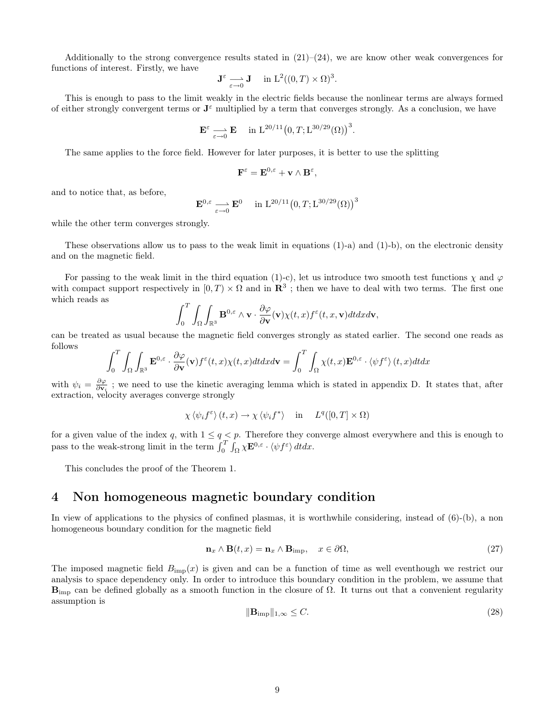Additionally to the strong convergence results stated in  $(21)-(24)$ , we are know other weak convergences for functions of interest. Firstly, we have

$$
\mathbf{J}^{\varepsilon} \underset{\varepsilon \to 0}{\longrightarrow} \mathbf{J} \quad \text{ in } \mathbf{L}^{2}((0,T) \times \Omega)^{3}.
$$

This is enough to pass to the limit weakly in the electric fields because the nonlinear terms are always formed of either strongly convergent terms or  $J^{\varepsilon}$  multiplied by a term that converges strongly. As a conclusion, we have

$$
\mathbf{E}^{\varepsilon} \underset{\varepsilon \to 0}{\longrightarrow} \mathbf{E} \quad \text{ in } \mathcal{L}^{20/11}(0,T;\mathcal{L}^{30/29}(\Omega))^3.
$$

The same applies to the force field. However for later purposes, it is better to use the splitting

$$
\mathbf{F}^{\varepsilon} = \mathbf{E}^{0,\varepsilon} + \mathbf{v} \wedge \mathbf{B}^{\varepsilon},
$$

and to notice that, as before,

$$
\mathbf{E}^{0,\varepsilon} \longrightarrow \mathbf{E}^0 \quad \text{in } \mathcal{L}^{20/11}(0,T;\mathcal{L}^{30/29}(\Omega))^3
$$

while the other term converges strongly.

These observations allow us to pass to the weak limit in equations (1)-a) and (1)-b), on the electronic density and on the magnetic field.

For passing to the weak limit in the third equation (1)-c), let us introduce two smooth test functions  $\chi$  and  $\varphi$ with compact support respectively in  $[0, T) \times \Omega$  and in  $\mathbb{R}^3$ ; then we have to deal with two terms. The first one which reads as

$$
\int_0^T \int_{\Omega} \int_{\mathbb{R}^3} \mathbf{B}^{0,\varepsilon} \wedge \mathbf{v} \cdot \frac{\partial \varphi}{\partial \mathbf{v}}(\mathbf{v}) \chi(t,x) f^{\varepsilon}(t,x,\mathbf{v}) dt dx d\mathbf{v},
$$

can be treated as usual because the magnetic field converges strongly as stated earlier. The second one reads as follows

$$
\int_0^T \int_{\Omega} \int_{\mathbb{R}^3} \mathbf{E}^{0,\varepsilon} \cdot \frac{\partial \varphi}{\partial \mathbf{v}}(\mathbf{v}) f^{\varepsilon}(t,x) \chi(t,x) dt dx d\mathbf{v} = \int_0^T \int_{\Omega} \chi(t,x) \mathbf{E}^{0,\varepsilon} \cdot \langle \psi f^{\varepsilon} \rangle (t,x) dt dx
$$

with  $\psi_i = \frac{\partial \varphi}{\partial \mathbf{v}_i}$ ; we need to use the kinetic averaging lemma which is stated in appendix D. It states that, after extraction, velocity averages converge strongly

$$
\chi \langle \psi_i f^{\varepsilon} \rangle (t, x) \to \chi \langle \psi_i f^* \rangle \quad \text{in} \quad L^q([0, T] \times \Omega)
$$

for a given value of the index q, with  $1 \le q < p$ . Therefore they converge almost everywhere and this is enough to pass to the weak-strong limit in the term  $\int_0^T \int_{\Omega} \chi \mathbf{E}^{0,\varepsilon} \cdot \langle \psi f^{\varepsilon} \rangle dt dx$ .

This concludes the proof of the Theorem 1.

### 4 Non homogeneous magnetic boundary condition

In view of applications to the physics of confined plasmas, it is worthwhile considering, instead of (6)-(b), a non homogeneous boundary condition for the magnetic field

$$
\mathbf{n}_x \wedge \mathbf{B}(t, x) = \mathbf{n}_x \wedge \mathbf{B}_{\text{imp}}, \quad x \in \partial \Omega,
$$
\n(27)

The imposed magnetic field  $B_{\text{imp}}(x)$  is given and can be a function of time as well eventhough we restrict our analysis to space dependency only. In order to introduce this boundary condition in the problem, we assume that  $B_{\text{imp}}$  can be defined globally as a smooth function in the closure of  $\Omega$ . It turns out that a convenient regularity assumption is

$$
\|\mathbf{B}_{\mathrm{imp}}\|_{1,\infty} \le C. \tag{28}
$$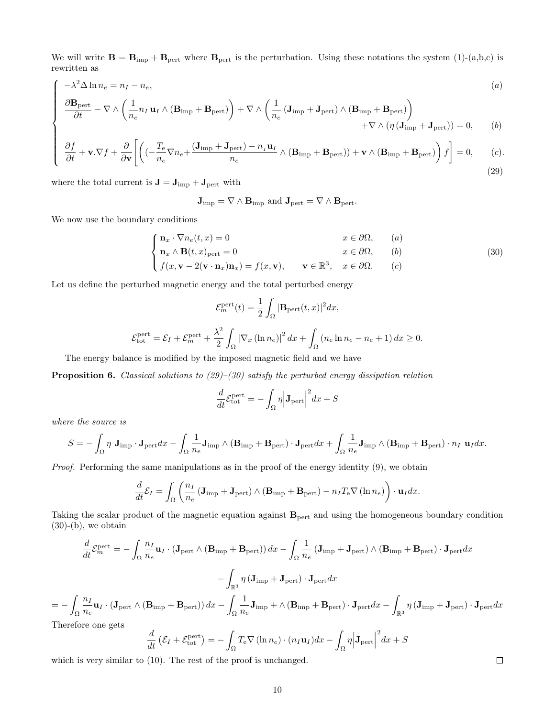We will write  $\mathbf{B} = \mathbf{B}_{\text{imp}} + \mathbf{B}_{\text{pert}}$  where  $\mathbf{B}_{\text{pert}}$  is the perturbation. Using these notations the system (1)-(a,b,c) is rewritten as

$$
-\lambda^{2} \Delta \ln n_{e} = n_{I} - n_{e},
$$
\n
$$
\frac{\partial \mathbf{B}_{\text{pert}}}{\partial t} - \nabla \wedge \left(\frac{1}{n_{e}} n_{I} \mathbf{u}_{I} \wedge (\mathbf{B}_{\text{imp}} + \mathbf{B}_{\text{pert}})\right) + \nabla \wedge \left(\frac{1}{n_{e}} (\mathbf{J}_{\text{imp}} + \mathbf{J}_{\text{pert}}) \wedge (\mathbf{B}_{\text{imp}} + \mathbf{B}_{\text{pert}})\right) + \nabla \wedge (\eta (\mathbf{J}_{\text{imp}} + \mathbf{J}_{\text{pert}})) = 0,
$$
\n(b)\n
$$
\frac{\partial f}{\partial t} + \mathbf{v} \cdot \nabla f + \frac{\partial}{\partial x} \left[ \left( (-\frac{T_{e}}{r} \nabla n_{e} + \frac{(\mathbf{J}_{\text{imp}} + \mathbf{J}_{\text{pert}}) - n_{I} \mathbf{u}_{I}}{r} \wedge (\mathbf{B}_{\text{imp}} + \mathbf{B}_{\text{pert}}) + \mathbf{v} \wedge (\mathbf{B}_{\text{imp}} + \mathbf{B}_{\text{pert}}) \right) f \right] = 0,
$$
\n(c).

$$
\frac{\partial f}{\partial t} + \mathbf{v}.\nabla f + \frac{\partial}{\partial \mathbf{v}} \left[ \left( (-\frac{e}{n_e} \nabla n_e + \frac{(\mathbf{v}_{\text{imp}} + \mathbf{v}_{\text{pert}})}{n_e} \wedge (\mathbf{B}_{\text{imp}} + \mathbf{B}_{\text{pert}}) ) + \mathbf{v} \wedge (\mathbf{B}_{\text{imp}} + \mathbf{B}_{\text{pert}}) \right) f \right] = 0, \qquad (c).
$$
\n(29)

where the total current is  $\mathbf{J} = \mathbf{J}_{imp} + \mathbf{J}_{pert}$  with

$$
\mathbf{J}_{\mathrm{imp}} = \nabla \wedge \mathbf{B}_{\mathrm{imp}} \text{ and } \mathbf{J}_{\mathrm{pert}} = \nabla \wedge \mathbf{B}_{\mathrm{pert}}.
$$

We now use the boundary conditions

 $\sqrt{ }$ 

 $\begin{array}{c} \hline \end{array}$ 

 $\Bigg\}$ 

$$
\begin{cases} \mathbf{n}_x \cdot \nabla n_e(t, x) = 0 & x \in \partial \Omega, \quad (a) \\ \mathbf{n}_x \wedge \mathbf{B}(t, x)_{\text{pert}} = 0 & x \in \partial \Omega, \quad (b) \end{cases}
$$
 (30)

$$
\int f(x, \mathbf{v} - 2(\mathbf{v} \cdot \mathbf{n}_x)\mathbf{n}_x) = f(x, \mathbf{v}), \quad \mathbf{v} \in \mathbb{R}^3, \quad x \in \partial \Omega. \quad (c)
$$

Let us define the perturbed magnetic energy and the total perturbed energy

$$
\mathcal{E}_m^{\text{pert}}(t) = \frac{1}{2} \int_{\Omega} |\mathbf{B}_{\text{pert}}(t, x)|^2 dx,
$$
  

$$
\mathcal{E}_{\text{tot}}^{\text{pert}} = \mathcal{E}_I + \mathcal{E}_m^{\text{pert}} + \frac{\lambda^2}{2} \int_{\Omega} |\nabla_x (\ln n_e)|^2 dx + \int_{\Omega} (n_e \ln n_e - n_e + 1) dx \ge 0.
$$

The energy balance is modified by the imposed magnetic field and we have

**Proposition 6.** Classical solutions to  $(29)$ – $(30)$  satisfy the perturbed energy dissipation relation

$$
\frac{d}{dt}\mathcal{E}_{\text{tot}}^{\text{pert}} = -\int_{\Omega} \eta \Big| \mathbf{J}_{\text{pert}} \Big|^2 dx + S
$$

where the source is

$$
S = -\int_{\Omega} \eta \mathbf{J}_{\text{imp}} \cdot \mathbf{J}_{\text{pert}} dx - \int_{\Omega} \frac{1}{n_e} \mathbf{J}_{\text{imp}} \wedge (\mathbf{B}_{\text{imp}} + \mathbf{B}_{\text{pert}}) \cdot \mathbf{J}_{\text{pert}} dx + \int_{\Omega} \frac{1}{n_e} \mathbf{J}_{\text{imp}} \wedge (\mathbf{B}_{\text{imp}} + \mathbf{B}_{\text{pert}}) \cdot n_I \mathbf{u}_I dx.
$$

Proof. Performing the same manipulations as in the proof of the energy identity (9), we obtain

$$
\frac{d}{dt}\mathcal{E}_{I} = \int_{\Omega} \left( \frac{n_{I}}{n_{e}} \left( \mathbf{J}_{\text{imp}} + \mathbf{J}_{\text{pert}} \right) \wedge \left( \mathbf{B}_{\text{imp}} + \mathbf{B}_{\text{pert}} \right) - n_{I} T_{e} \nabla \left( \ln n_{e} \right) \right) \cdot \mathbf{u}_{I} dx.
$$

Taking the scalar product of the magnetic equation against  $B_{\text{pert}}$  and using the homogeneous boundary condition  $(30)-(b)$ , we obtain

$$
\frac{d}{dt}\mathcal{E}_{m}^{\text{pert}} = -\int_{\Omega} \frac{n_{I}}{n_{e}} \mathbf{u}_{I} \cdot (\mathbf{J}_{\text{pert}} \wedge (\mathbf{B}_{\text{imp}} + \mathbf{B}_{\text{pert}})) dx - \int_{\Omega} \frac{1}{n_{e}} (\mathbf{J}_{\text{imp}} + \mathbf{J}_{\text{pert}}) \wedge (\mathbf{B}_{\text{imp}} + \mathbf{B}_{\text{pert}}) \cdot \mathbf{J}_{\text{pert}} dx
$$

$$
-\int_{\mathbb{R}^{3}} \eta \left( \mathbf{J}_{\text{imp}} + \mathbf{J}_{\text{pert}} \right) \cdot \mathbf{J}_{\text{pert}} dx
$$

$$
\int_{\Omega} \frac{n_{I}}{n_{e}} \mathbf{u}_{I} \cdot (\mathbf{J}_{\text{pert}} \wedge (\mathbf{B}_{\text{imp}} + \mathbf{B}_{\text{pert}})) dx - \int_{\Omega} \frac{1}{n_{e}} \mathbf{J}_{\text{imp}} + \wedge (\mathbf{B}_{\text{imp}} + \mathbf{B}_{\text{pert}}) \cdot \mathbf{J}_{\text{pert}} dx - \int_{\mathbb{R}^{3}} \eta \left( \mathbf{J}_{\text{imp}} + \mathbf{J}_{\text{pert}} \right) \cdot \mathbf{J}_{\text{pert}} dx
$$
  
before one gets

There

= −

$$
\frac{d}{dt} \left( \mathcal{E}_I + \mathcal{E}_{\text{tot}}^{\text{pert}} \right) = - \int_{\Omega} T_{\text{e}} \nabla \left( \ln n_e \right) \cdot \left( n_I \mathbf{u}_I \right) dx - \int_{\Omega} \eta \Big| \mathbf{J}_{\text{pert}} \Big|^2 dx + S
$$

which is very similar to (10). The rest of the proof is unchanged.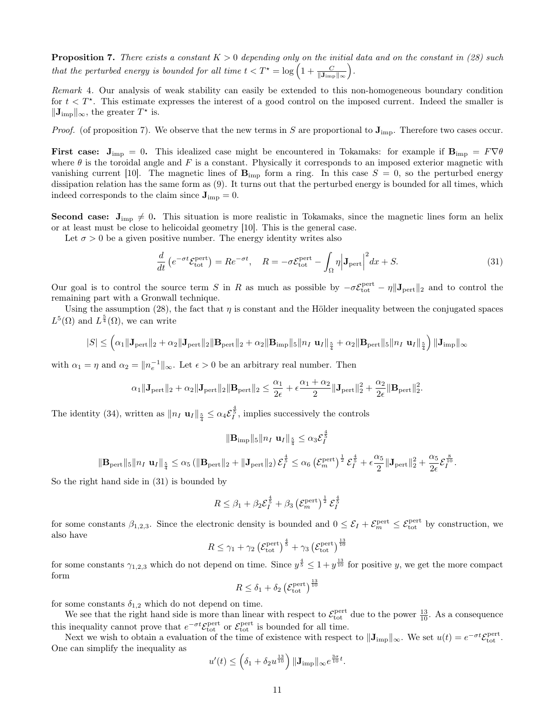**Proposition 7.** There exists a constant  $K > 0$  depending only on the initial data and on the constant in (28) such that the perturbed energy is bounded for all time  $t < T^* = \log\left(1 + \frac{C}{\|\mathbf{J}_{\text{imp}}\|_{\infty}}\right)$ .

Remark 4. Our analysis of weak stability can easily be extended to this non-homogeneous boundary condition for  $t < T^*$ . This estimate expresses the interest of a good control on the imposed current. Indeed the smaller is  $\|\mathbf{J}_{\text{imp}}\|_{\infty}$ , the greater  $T^*$  is.

*Proof.* (of proposition 7). We observe that the new terms in S are proportional to  $J_{\text{imp}}$ . Therefore two cases occur.

**First case:**  $J_{\text{imp}} = 0$ . This idealized case might be encountered in Tokamaks: for example if  $B_{\text{imp}} = F \nabla \theta$ where  $\theta$  is the toroidal angle and F is a constant. Physically it corresponds to an imposed exterior magnetic with vanishing current [10]. The magnetic lines of  $\mathbf{B}_{\text{imp}}$  form a ring. In this case  $S = 0$ , so the perturbed energy dissipation relation has the same form as (9). It turns out that the perturbed energy is bounded for all times, which indeed corresponds to the claim since  $J_{\text{imp}}=0$ .

**Second case:**  $J_{\text{imp}} \neq 0$ . This situation is more realistic in Tokamaks, since the magnetic lines form an helix or at least must be close to helicoidal geometry [10]. This is the general case.

Let  $\sigma > 0$  be a given positive number. The energy identity writes also

$$
\frac{d}{dt}\left(e^{-\sigma t}\mathcal{E}_{\text{tot}}^{\text{pert}}\right) = Re^{-\sigma t}, \quad R = -\sigma \mathcal{E}_{\text{tot}}^{\text{pert}} - \int_{\Omega} \eta \Big| \mathbf{J}_{\text{pert}} \Big|^2 dx + S. \tag{31}
$$

Our goal is to control the source term S in R as much as possible by  $-\sigma \mathcal{E}_{\text{tot}}^{\text{pert}} - \eta ||\mathbf{J}_{\text{pert}}||_2$  and to control the remaining part with a Gronwall technique.

Using the assumption (28), the fact that  $\eta$  is constant and the Hölder inequality between the conjugated spaces  $L^5(\Omega)$  and  $L^{\frac{5}{4}}(\Omega)$ , we can write

$$
|S| \leq \left(\alpha_1 \|\mathbf{J}_{\text{pert}}\|_2 + \alpha_2 \|\mathbf{J}_{\text{pert}}\|_2 \|\mathbf{B}_{\text{pert}}\|_2 + \alpha_2 \|\mathbf{B}_{\text{imp}}\|_5 \|\mathbf{n}_I \mathbf{ u}_I\|_{\frac{5}{4}} + \alpha_2 \|\mathbf{B}_{\text{pert}}\|_5 \|\mathbf{n}_I \mathbf{ u}_I\|_{\frac{5}{4}}\right) \|\mathbf{J}_{\text{imp}}\|_{\infty}
$$

with  $\alpha_1 = \eta$  and  $\alpha_2 = ||n_e^{-1}||_{\infty}$ . Let  $\epsilon > 0$  be an arbitrary real number. Then

$$
\alpha_1\|\mathbf{J}_{\text{pert}}\|_2+\alpha_2\|\mathbf{J}_{\text{pert}}\|_2\|\mathbf{B}_{\text{pert}}\|_2\leq \frac{\alpha_1}{2\epsilon}+\epsilon\frac{\alpha_1+\alpha_2}{2}\|\mathbf{J}_{\text{pert}}\|_2^2+\frac{\alpha_2}{2\epsilon}\|\mathbf{B}_{\text{pert}}\|_2^2.
$$

The identity (34), written as  $||n_I \mathbf{u}_I||_{\frac{5}{4}} \leq \alpha_4 \mathcal{E}_I^{\frac{4}{5}}$ , implies successively the controls

$$
\|{\mathbf{B}}_{\text{imp}}\|_5 \|n_I \; {\mathbf{u}}_I \|_{\frac{5}{4}} \leq \alpha_3 \mathcal{E}_I^{\frac{4}{5}}
$$

$$
\|\mathbf{B}_{\rm pert}\|_5\|n_I\;\mathbf{u}_I\|_{\frac{5}{4}}\leq \alpha_5\left(\|\mathbf{B}_{\rm pert}\|_2+\|\mathbf{J}_{\rm pert}\|_2\right)\mathcal{E}_I^{\frac{4}{5}}\leq \alpha_6\left(\mathcal{E}_m^{\rm pert}\right)^{\frac{1}{2}}\mathcal{E}_I^{\frac{4}{5}}+\epsilon\frac{\alpha_5}{2}\|\mathbf{J}_{\rm pert}\|_2^2+\frac{\alpha_5}{2\epsilon}\mathcal{E}_I^{\frac{8}{10}}.
$$

So the right hand side in (31) is bounded by

$$
R \leq \beta_1 + \beta_2 \mathcal{E}_I^{\frac{4}{5}} + \beta_3 \left(\mathcal{E}_m^{\text{pert}}\right)^{\frac{1}{2}} \mathcal{E}_I^{\frac{4}{5}}
$$

for some constants  $\beta_{1,2,3}$ . Since the electronic density is bounded and  $0 \leq \mathcal{E}_I + \mathcal{E}_{m}^{\text{pert}} \leq \mathcal{E}_{\text{tot}}^{\text{pert}}$  by construction, we also have

$$
R \leq \gamma_1 + \gamma_2 \left(\mathcal{E}_{\text{tot}}^{\text{pert}}\right)^{\frac{4}{5}} + \gamma_3 \left(\mathcal{E}_{\text{tot}}^{\text{pert}}\right)^{\frac{13}{10}}
$$

for some constants  $\gamma_{1,2,3}$  which do not depend on time. Since  $y^{\frac{4}{5}} \leq 1 + y^{\frac{13}{10}}$  for positive y, we get the more compact form

$$
R \leq \delta_1 + \delta_2 \left(\mathcal{E}_{\text{tot}}^{\text{pert}}\right)^{\frac{13}{10}}
$$

for some constants  $\delta_{1,2}$  which do not depend on time.

We see that the right hand side is more than linear with respect to  $\mathcal{E}_{\text{tot}}^{\text{pert}}$  due to the power  $\frac{13}{10}$ . As a consequence this inequality cannot prove that  $e^{-\sigma t} \mathcal{E}_{\text{tot}}^{\text{pert}}$  or  $\mathcal{E}_{\text{tot}}^{\text{pert}}$  is bounded for all time.

Next we wish to obtain a evaluation of the time of existence with respect to  $\|\mathbf{J}_{\text{imp}}\|_{\infty}$ . We set  $u(t) = e^{-\sigma t}\mathcal{E}_{\text{tot}}^{\text{pert}}$ . One can simplify the inequality as

$$
u'(t) \le \left(\delta_1 + \delta_2 u^{\frac{13}{10}}\right) \|\mathbf{J}_{\mathrm{imp}}\|_{\infty} e^{\frac{3\sigma}{10}t}.
$$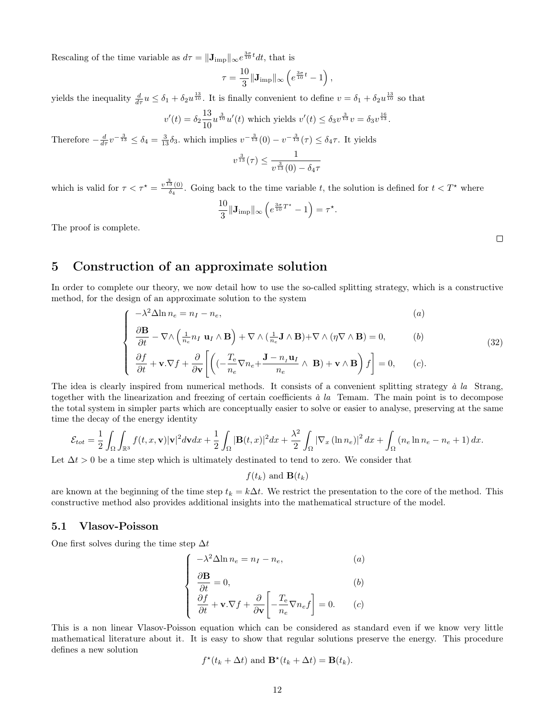Rescaling of the time variable as  $d\tau = ||\mathbf{J}_{\text{imp}}||_{\infty}e^{\frac{3\sigma}{10}t}dt$ , that is

$$
\tau = \frac{10}{3} \|\mathbf{J}_{\text{imp}}\|_{\infty} \left(e^{\frac{3\sigma}{10}t} - 1\right),\,
$$

yields the inequality  $\frac{d}{d\tau}u \leq \delta_1 + \delta_2 u^{\frac{13}{10}}$ . It is finally convenient to define  $v = \delta_1 + \delta_2 u^{\frac{13}{10}}$  so that

$$
v'(t) = \delta_2 \frac{13}{10} u^{\frac{3}{10}} u'(t)
$$
 which yields  $v'(t) \leq \delta_3 v^{\frac{3}{13}} v = \delta_3 v^{\frac{16}{13}}$ .

Therefore  $-\frac{d}{d\tau}v^{-\frac{3}{13}} \leq \delta_4 = \frac{3}{13}\delta_3$ , which implies  $v^{-\frac{3}{13}}(0) - v^{-\frac{3}{13}}(\tau) \leq \delta_4\tau$ . It yields

$$
v^{\frac{3}{13}}(\tau) \leq \frac{1}{v^{\frac{3}{13}}(0) - \delta_4 \tau}
$$

which is valid for  $\tau < \tau^* = \frac{v^{\frac{3}{13}}(0)}{\delta}$  $\frac{3(0)}{\delta_4}$ . Going back to the time variable t, the solution is defined for  $t < T^*$  where

$$
\frac{10}{3} \|\mathbf{J}_{\text{imp}}\|_{\infty} \left(e^{\frac{3\sigma}{10}T^{\star}} - 1\right) = \tau^{\star}.
$$

The proof is complete.

# 5 Construction of an approximate solution

In order to complete our theory, we now detail how to use the so-called splitting strategy, which is a constructive method, for the design of an approximate solution to the system

$$
\begin{cases}\n-\lambda^2 \Delta \ln n_e = n_I - n_e, & (a) \\
\frac{\partial \mathbf{B}}{\partial t} - \nabla \wedge \left(\frac{1}{n_e} n_I \mathbf{u}_I \wedge \mathbf{B}\right) + \nabla \wedge \left(\frac{1}{n_e} \mathbf{J} \wedge \mathbf{B}\right) + \nabla \wedge \left(\eta \nabla \wedge \mathbf{B}\right) = 0, & (b) \\
\end{cases}
$$
\n(32)

$$
\begin{cases}\n\frac{\partial f}{\partial t} + \mathbf{v}.\nabla f + \frac{\partial}{\partial \mathbf{v}} \left[ \left( (-\frac{T_e}{n_e} \nabla n_e + \frac{\mathbf{J} - n_I \mathbf{u}_I}{n_e} \wedge \mathbf{B}) + \mathbf{v} \wedge \mathbf{B} \right) f \right] = 0, \quad (c).\n\end{cases}
$$

The idea is clearly inspired from numerical methods. It consists of a convenient splitting strategy  $\dot{a}$  la Strang, together with the linearization and freezing of certain coefficients  $\dot{a}$  la Temam. The main point is to decompose the total system in simpler parts which are conceptually easier to solve or easier to analyse, preserving at the same time the decay of the energy identity

$$
\mathcal{E}_{tot} = \frac{1}{2} \int_{\Omega} \int_{\mathbb{R}^3} f(t, x, \mathbf{v}) |\mathbf{v}|^2 d\mathbf{v} dx + \frac{1}{2} \int_{\Omega} |\mathbf{B}(t, x)|^2 dx + \frac{\lambda^2}{2} \int_{\Omega} |\nabla_x (\ln n_e)|^2 dx + \int_{\Omega} (n_e \ln n_e - n_e + 1) dx.
$$

Let  $\Delta t > 0$  be a time step which is ultimately destinated to tend to zero. We consider that

 $f(t_k)$  and  $\mathbf{B}(t_k)$ 

are known at the beginning of the time step  $t_k = k\Delta t$ . We restrict the presentation to the core of the method. This constructive method also provides additional insights into the mathematical structure of the model.

### 5.1 Vlasov-Poisson

One first solves during the time step  $\Delta t$ 

$$
\begin{cases}\n-\lambda^2 \Delta \ln n_e = n_I - n_e, & (a) \\
\frac{\partial \mathbf{B}}{\partial t} = 0, & (b) \\
\frac{\partial f}{\partial t} + \mathbf{v} . \nabla f + \frac{\partial}{\partial \mathbf{v}} \left[ -\frac{T_e}{n_e} \nabla n_e f \right] = 0. & (c)\n\end{cases}
$$

This is a non linear Vlasov-Poisson equation which can be considered as standard even if we know very little mathematical literature about it. It is easy to show that regular solutions preserve the energy. This procedure defines a new solution

$$
f^*(t_k + \Delta t)
$$
 and  $\mathbf{B}^*(t_k + \Delta t) = \mathbf{B}(t_k)$ .

 $\Box$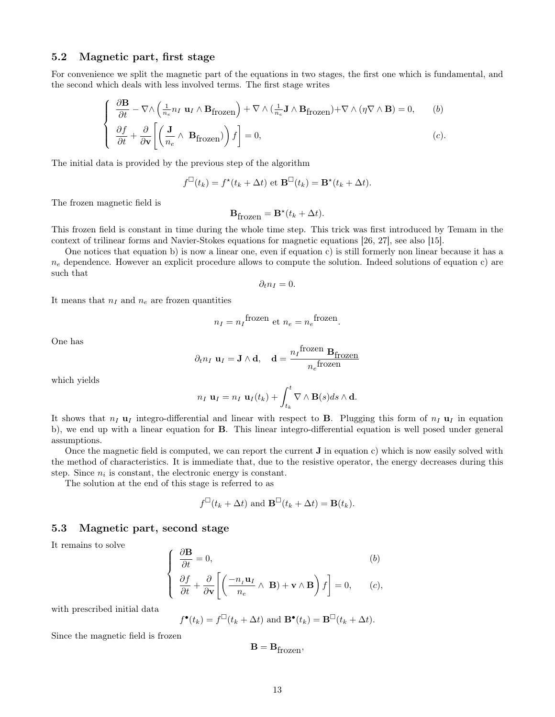### 5.2 Magnetic part, first stage

For convenience we split the magnetic part of the equations in two stages, the first one which is fundamental, and the second which deals with less involved terms. The first stage writes

$$
\begin{cases}\n\frac{\partial \mathbf{B}}{\partial t} - \nabla \wedge \left( \frac{1}{n_e} n_I \mathbf{u}_I \wedge \mathbf{B}_{\text{frozen}} \right) + \nabla \wedge \left( \frac{1}{n_e} \mathbf{J} \wedge \mathbf{B}_{\text{frozen}} \right) + \nabla \wedge (\eta \nabla \wedge \mathbf{B}) = 0, \qquad (b) \\
\frac{\partial f}{\partial t} + \frac{\partial}{\partial \mathbf{v}} \left[ \left( \frac{\mathbf{J}}{n_e} \wedge \mathbf{B}_{\text{frozen}} \right) \right) f \right] = 0,\n\end{cases} \tag{c}.
$$

The initial data is provided by the previous step of the algorithm

$$
f^{\Box}(t_k) = f^{\star}(t_k + \Delta t)
$$
 et  $\mathbf{B}^{\Box}(t_k) = \mathbf{B}^{\star}(t_k + \Delta t)$ .

The frozen magnetic field is

$$
\mathbf{B}_{\mathrm{frozen}} = \mathbf{B}^{\star}(t_k + \Delta t).
$$

This frozen field is constant in time during the whole time step. This trick was first introduced by Temam in the context of trilinear forms and Navier-Stokes equations for magnetic equations [26, 27], see also [15].

One notices that equation b) is now a linear one, even if equation c) is still formerly non linear because it has a  $n_e$  dependence. However an explicit procedure allows to compute the solution. Indeed solutions of equation c) are such that

$$
\partial_t n_I=0.
$$

It means that  $n_I$  and  $n_e$  are frozen quantities

$$
n_I = n_I^{\text{frozen}} \text{ et } n_e = n_e^{\text{frozen}}.
$$

One has

$$
\partial_t n_I \mathbf{u}_I = \mathbf{J} \wedge \mathbf{d}, \quad \mathbf{d} = \frac{n_I \text{frozen}}{n_e \text{frozen}} \mathbf{B}_{\text{frozen}}
$$

which yields

$$
n_I \mathbf{u}_I = n_I \mathbf{u}_I(t_k) + \int_{t_k}^t \nabla \wedge \mathbf{B}(s) ds \wedge \mathbf{d}.
$$

It shows that  $n_I$  u<sub>I</sub> integro-differential and linear with respect to **B**. Plugging this form of  $n_I$  u<sub>I</sub> in equation b), we end up with a linear equation for B. This linear integro-differential equation is well posed under general assumptions.

Once the magnetic field is computed, we can report the current J in equation c) which is now easily solved with the method of characteristics. It is immediate that, due to the resistive operator, the energy decreases during this step. Since  $n_i$  is constant, the electronic energy is constant.

The solution at the end of this stage is referred to as

$$
f^{\Box}(t_k + \Delta t)
$$
 and  $\mathbf{B}^{\Box}(t_k + \Delta t) = \mathbf{B}(t_k)$ .

### 5.3 Magnetic part, second stage

It remains to solve

$$
\begin{cases}\n\frac{\partial \mathbf{B}}{\partial t} = 0, & (b) \\
\frac{\partial f}{\partial t} + \frac{\partial}{\partial \mathbf{v}} \left[ \left( \frac{-n_I \mathbf{u}_I}{n_e} \wedge \mathbf{B} \right) + \mathbf{v} \wedge \mathbf{B} \right) f \right] = 0, & (c),\n\end{cases}
$$

with prescribed initial data

$$
f^{\bullet}(t_k) = f^{\Box}(t_k + \Delta t)
$$
 and  $\mathbf{B}^{\bullet}(t_k) = \mathbf{B}^{\Box}(t_k + \Delta t)$ .

Since the magnetic field is frozen

$$
\mathbf{B} = \mathbf{B}_{frozen},
$$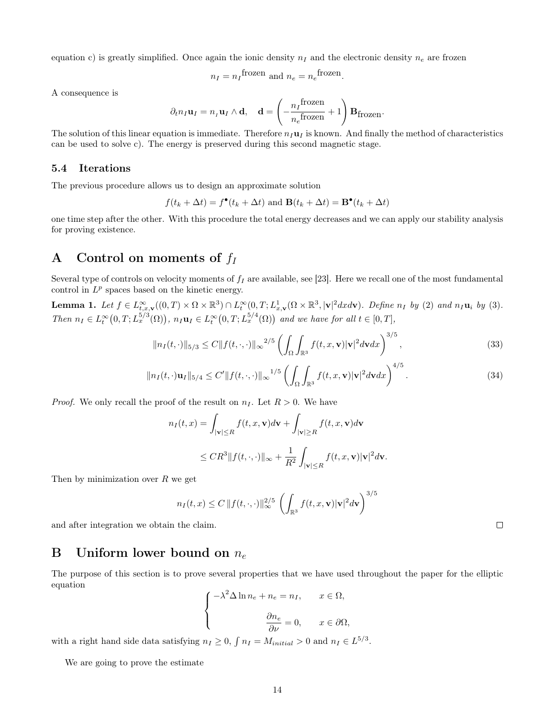equation c) is greatly simplified. Once again the ionic density  $n<sub>I</sub>$  and the electronic density  $n<sub>e</sub>$  are frozen

$$
n_I = n_I
$$
frozen and  $n_e = n_e$ frozen.

A consequence is

$$
\partial_t n_I \mathbf{u}_I = n_I \mathbf{u}_I \wedge \mathbf{d}, \quad \mathbf{d} = \left(-\frac{n_I \text{frozen}}{n_e \text{frozen}} + 1\right) \mathbf{B}_{\text{frozen}}.
$$

The solution of this linear equation is immediate. Therefore  $n_I \mathbf{u}_I$  is known. And finally the method of characteristics can be used to solve c). The energy is preserved during this second magnetic stage.

### 5.4 Iterations

The previous procedure allows us to design an approximate solution

$$
f(t_k + \Delta t) = f^{\bullet}(t_k + \Delta t)
$$
 and  $\mathbf{B}(t_k + \Delta t) = \mathbf{B}^{\bullet}(t_k + \Delta t)$ 

one time step after the other. With this procedure the total energy decreases and we can apply our stability analysis for proving existence.

# A Control on moments of  $f_I$

Several type of controls on velocity moments of  $f_I$  are available, see [23]. Here we recall one of the most fundamental control in  $L^p$  spaces based on the kinetic energy.

**Lemma 1.** Let  $f \in L_{t,x,\mathbf{v}}^{\infty}((0,T) \times \Omega \times \mathbb{R}^3) \cap L_t^{\infty}(0,T; L_{x,\mathbf{v}}^1(\Omega \times \mathbb{R}^3, |\mathbf{v}|^2 dx d\mathbf{v})$ . Define  $n_I$  by (2) and  $n_I$ **u**<sub>i</sub> by (3). Then  $n_I \in L_t^{\infty}(0,T; L_x^{5/3}(\Omega))$ ,  $n_I \mathbf{u}_I \in L_t^{\infty}(0,T; L_x^{5/4}(\Omega))$  and we have for all  $t \in [0,T]$ ,

$$
||n_{I}(t,\cdot)||_{5/3} \leq C||f(t,\cdot,\cdot)||_{\infty}^{2/5} \left(\int_{\Omega} \int_{\mathbb{R}^{3}} f(t,x,\mathbf{v}) |\mathbf{v}|^{2} d\mathbf{v} dx\right)^{3/5},
$$
\n(33)

$$
||n_{I}(t,\cdot)\mathbf{u}_{I}||_{5/4} \leq C'||f(t,\cdot,\cdot)||_{\infty}^{1/5} \left(\int_{\Omega}\int_{\mathbb{R}^{3}}f(t,x,\mathbf{v})|\mathbf{v}|^{2}d\mathbf{v}d x\right)^{4/5}.
$$
 (34)

*Proof.* We only recall the proof of the result on  $n_I$ . Let  $R > 0$ . We have

$$
n_I(t, x) = \int_{|\mathbf{v}| \le R} f(t, x, \mathbf{v}) d\mathbf{v} + \int_{|\mathbf{v}| \ge R} f(t, x, \mathbf{v}) d\mathbf{v}
$$
  

$$
\le C R^3 \|f(t, \cdot, \cdot)\|_{\infty} + \frac{1}{R^2} \int_{|\mathbf{v}| \le R} f(t, x, \mathbf{v}) |\mathbf{v}|^2 d\mathbf{v}.
$$

Then by minimization over  $R$  we get

$$
n_I(t,x) \leq C \|f(t,\cdot,\cdot)\|_{\infty}^{2/5} \left( \int_{\mathbb{R}^3} f(t,x,\mathbf{v}) |\mathbf{v}|^2 d\mathbf{v} \right)^{3/5}
$$

and after integration we obtain the claim.

### B Uniform lower bound on  $n_e$

The purpose of this section is to prove several properties that we have used throughout the paper for the elliptic equation

$$
\begin{cases}\n-\lambda^2 \Delta \ln n_e + n_e = n_I, & x \in \Omega, \\
\frac{\partial n_e}{\partial \nu} = 0, & x \in \partial \Omega,\n\end{cases}
$$

with a right hand side data satisfying  $n_I \geq 0$ ,  $\int n_I = M_{initial} > 0$  and  $n_I \in L^{5/3}$ .

We are going to prove the estimate

 $\Box$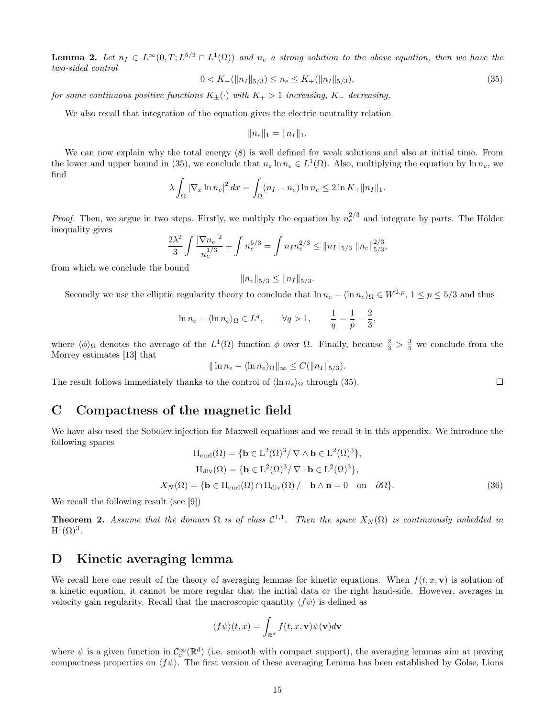**Lemma 2.** Let  $n_I \in L^{\infty}(0,T; L^{5/3} \cap L^{1}(\Omega))$  and  $n_e$  a strong solution to the above equation, then we have the two-sided control

$$
0 < K_{-}(\|n_I\|_{5/3}) \le n_e \le K_{+}(\|n_I\|_{5/3}),\tag{35}
$$

for some continuous positive functions  $K_{\pm}(\cdot)$  with  $K_{+} > 1$  increasing,  $K_{-}$  decreasing.

We also recall that integration of the equation gives the electric neutrality relation

$$
||n_e||_1 = ||n_I||_1.
$$

We can now explain why the total energy  $(8)$  is well defined for weak solutions and also at initial time. From the lower and upper bound in (35), we conclude that  $n_e \ln n_e \in L^1(\Omega)$ . Also, multiplying the equation by  $\ln n_e$ , we find

$$
\lambda \int_{\Omega} |\nabla_x \ln n_e|^2 dx = \int_{\Omega} (n_I - n_e) \ln n_e \le 2 \ln K_+ ||n_I||_1.
$$

*Proof.* Then, we argue in two steps. Firstly, we multiply the equation by  $n_e^{2/3}$  and integrate by parts. The Hölder inequality gives

$$
\frac{2\lambda^2}{3} \int \frac{|\nabla n_e|^2}{n_e^{1/3}} + \int n_e^{5/3} = \int n_I n_e^{2/3} \le ||n_I||_{5/3} ||n_e||_{5/3}^{2/3},
$$

from which we conclude the bound

$$
||n_e||_{5/3} \le ||n_I||_{5/3}.
$$

Secondly we use the elliptic regularity theory to conclude that  $\ln n_e - \langle \ln n_e \rangle_{\Omega} \in W^{2,p}, 1 \le p \le 5/3$  and thus

$$
\ln n_e - \langle \ln n_e \rangle_{\Omega} \in L^q, \qquad \forall q > 1, \qquad \frac{1}{q} = \frac{1}{p} - \frac{2}{3},
$$

where  $\langle \phi \rangle_{\Omega}$  denotes the average of the  $L^1(\Omega)$  function  $\phi$  over  $\Omega$ . Finally, because  $\frac{2}{3} > \frac{3}{5}$  we conclude from the Morrey estimates [13] that

$$
\|\ln n_e - \langle \ln n_e \rangle_{\Omega}\|_{\infty} \leq C(\|n_I\|_{5/3}).
$$

The result follows immediately thanks to the control of  $\langle \ln n_e \rangle_{\Omega}$  through (35).

## C Compactness of the magnetic field

We have also used the Sobolev injection for Maxwell equations and we recall it in this appendix. We introduce the following spaces

$$
H_{\text{curl}}(\Omega) = \{ \mathbf{b} \in L^{2}(\Omega)^{3} / \nabla \wedge \mathbf{b} \in L^{2}(\Omega)^{3} \},
$$
  
\n
$$
H_{\text{div}}(\Omega) = \{ \mathbf{b} \in L^{2}(\Omega)^{3} / \nabla \cdot \mathbf{b} \in L^{2}(\Omega)^{3} \},
$$
  
\n
$$
X_{N}(\Omega) = \{ \mathbf{b} \in H_{\text{curl}}(\Omega) \cap H_{\text{div}}(\Omega) / \mathbf{b} \wedge \mathbf{n} = 0 \text{ on } \partial\Omega \}.
$$
\n(36)

We recall the following result (see [9])

**Theorem 2.** Assume that the domain  $\Omega$  is of class  $C^{1,1}$ . Then the space  $X_N(\Omega)$  is continuously imbedded in  $\mathrm{H}^1(\Omega)^3.$ 

### D Kinetic averaging lemma

We recall here one result of the theory of averaging lemmas for kinetic equations. When  $f(t, x, v)$  is solution of a kinetic equation, it cannot be more regular that the initial data or the right hand-side. However, averages in velocity gain regularity. Recall that the macroscopic quantity  $\langle f\psi \rangle$  is defined as

$$
\langle f \psi \rangle (t,x) = \int_{\mathbb{R}^d} f(t,x,\mathbf{v}) \psi(\mathbf{v}) d\mathbf{v}
$$

where  $\psi$  is a given function in  $\mathcal{C}_c^{\infty}(\mathbb{R}^d)$  (i.e. smooth with compact support), the averaging lemmas aim at proving compactness properties on  $\langle f\psi \rangle$ . The first version of these averaging Lemma has been established by Golse, Lions

 $\Box$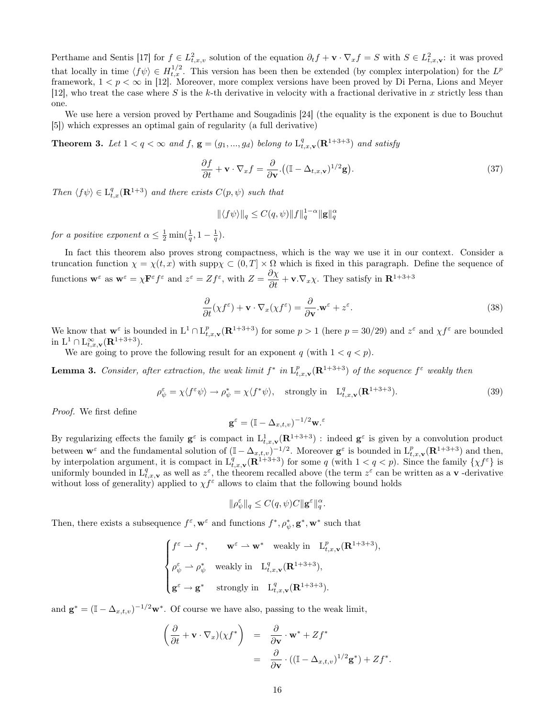Perthame and Sentis [17] for  $f \in L^2_{t,x,v}$  solution of the equation  $\partial_t f + \mathbf{v} \cdot \nabla_x f = S$  with  $S \in L^2_{t,x,\mathbf{v}}$ : it was proved that locally in time  $\langle f\psi\rangle \in H_{t,x}^{1/2}$ . This version has been then be extended (by complex interpolation) for the  $L^p$ framework,  $1 < p < \infty$  in [12]. Moreover, more complex versions have been proved by Di Perna, Lions and Meyer [12], who treat the case where S is the k-th derivative in velocity with a fractional derivative in x strictly less than one.

We use here a version proved by Perthame and Sougadinis [24] (the equality is the exponent is due to Bouchut [5]) which expresses an optimal gain of regularity (a full derivative)

**Theorem 3.** Let  $1 < q < \infty$  and f,  $\mathbf{g} = (g_1, ..., g_d)$  belong to  $\mathcal{L}_{t,x,\mathbf{v}}^q(\mathbf{R}^{1+3+3})$  and satisfy

$$
\frac{\partial f}{\partial t} + \mathbf{v} \cdot \nabla_x f = \frac{\partial}{\partial \mathbf{v}} \cdot \left( (\mathbb{I} - \Delta_{t,x,\mathbf{v}})^{1/2} \mathbf{g} \right).
$$
\n(37)

Then  $\langle f\psi \rangle \in L^q_{t,x}(\mathbf{R}^{1+3})$  and there exists  $C(p,\psi)$  such that

$$
\|\langle f\psi\rangle\|_q \le C(q,\psi) \|f\|_q^{1-\alpha} \|\mathbf{g}\|_q^{\alpha}
$$

for a positive exponent  $\alpha \leq \frac{1}{2} \min(\frac{1}{q}, 1 - \frac{1}{q}).$ 

In fact this theorem also proves strong compactness, which is the way we use it in our context. Consider a truncation function  $\chi = \chi(t, x)$  with supp $\chi \subset (0, T] \times \Omega$  which is fixed in this paragraph. Define the sequence of functions  $\mathbf{w}^{\varepsilon}$  as  $\mathbf{w}^{\varepsilon} = \chi \mathbf{F}^{\varepsilon} f^{\varepsilon}$  and  $z^{\varepsilon} = Zf^{\varepsilon}$ , with  $Z = \frac{\partial \chi}{\partial t} + \mathbf{v} \cdot \nabla_x \chi$ . They satisfy in  $\mathbf{R}^{1+3+3}$ 

$$
\frac{\partial}{\partial t}(\chi f^{\varepsilon}) + \mathbf{v} \cdot \nabla_x(\chi f^{\varepsilon}) = \frac{\partial}{\partial \mathbf{v}} \cdot \mathbf{w}^{\varepsilon} + z^{\varepsilon}.
$$
\n(38)

We know that  $\mathbf{w}^{\varepsilon}$  is bounded in  $L^1 \cap L^p_{t,x,\mathbf{v}}(\mathbf{R}^{1+3+3})$  for some  $p > 1$  (here  $p = 30/29$ ) and  $z^{\varepsilon}$  and  $\chi f^{\varepsilon}$  are bounded in  $L^1 \cap L_{t,x,\mathbf{v}}^{\infty}(\mathbf{R}^{1+3+3}).$ 

We are going to prove the following result for an exponent  $q$  (with  $1 < q < p$ ).

**Lemma 3.** Consider, after extraction, the weak limit  $f^*$  in  $L^p_{t,x,\mathbf{v}}(\mathbf{R}^{1+3+3})$  of the sequence  $f^{\varepsilon}$  weakly then

$$
\rho_{\psi}^{\varepsilon} = \chi \langle f^{\varepsilon} \psi \rangle \to \rho_{\psi}^{*} = \chi \langle f^{*} \psi \rangle, \quad \text{strongly in} \quad L_{t,x,\mathbf{v}}^{q}(\mathbf{R}^{1+3+3}). \tag{39}
$$

Proof. We first define

$$
\mathbf{g}^\varepsilon = (\mathbb{I} - \Delta_{x,t,v})^{-1/2} \mathbf{w}.
$$

By regularizing effects the family  $g^{\varepsilon}$  is compact in  $L^1_{t,x,v}(\mathbf{R}^{1+3+3})$ : indeed  $g^{\varepsilon}$  is given by a convolution product between  $\mathbf{w}^{\varepsilon}$  and the fundamental solution of  $(\mathbb{I} - \Delta_{x,t,v})^{-1/2}$ . Moreover  $\mathbf{g}^{\varepsilon}$  is bounded in  $\mathcal{L}^p_{t,x,v}(\mathbf{R}^{1+3+3})$  and then, by interpolation argument, it is compact in  $L^q_{t,x,\mathbf{v}}(\mathbf{R}^{1+3+3})$  for some q (with  $1 < q < p$ ). Since the family  $\{\chi f^{\varepsilon}\}\$ is uniformly bounded in  $L^q_{t,x,\mathbf{v}}$  as well as  $z^{\varepsilon}$ , the theorem recalled above (the term  $z^{\varepsilon}$  can be written as a **v** -derivative without loss of generality) applied to  $\chi f^{\varepsilon}$  allows to claim that the following bound holds

$$
\|\rho_{\psi}^{\varepsilon}\|_{q} \leq C(q,\psi)C \|\mathbf{g}^{\varepsilon}\|_{q}^{\alpha}.
$$

Then, there exists a subsequence  $f^{\varepsilon}$ ,  $\mathbf{w}^{\varepsilon}$  and functions  $f^*, \rho^*_{\psi}, \mathbf{g}^*, \mathbf{w}^*$  such that

$$
\begin{cases}\nf^{\varepsilon} \rightharpoonup f^*, & \mathbf{w}^{\varepsilon} \rightharpoonup \mathbf{w}^* \quad \text{weakly in} \quad \mathcal{L}_{t,x,\mathbf{v}}^p(\mathbf{R}^{1+3+3}), \\
\rho_\psi^\varepsilon \rightharpoonup \rho_\psi^* \quad \text{weakly in} \quad \mathcal{L}_{t,x,\mathbf{v}}^q(\mathbf{R}^{1+3+3}), \\
\mathbf{g}^{\varepsilon} \rightharpoonup \mathbf{g}^* \quad \text{strongly in} \quad \mathcal{L}_{t,x,\mathbf{v}}^q(\mathbf{R}^{1+3+3}).\n\end{cases}
$$

and  $\mathbf{g}^* = (\mathbb{I} - \Delta_{x,t,v})^{-1/2} \mathbf{w}^*$ . Of course we have also, passing to the weak limit,

$$
\begin{array}{rcl}\n\left(\frac{\partial}{\partial t} + \mathbf{v} \cdot \nabla_x \right) \left(\chi f^*\right) & = & \frac{\partial}{\partial \mathbf{v}} \cdot \mathbf{w}^* + Zf^* \\
& = & \frac{\partial}{\partial \mathbf{v}} \cdot \left( (\mathbb{I} - \Delta_{x,t,v})^{1/2} \mathbf{g}^* \right) + Zf^*.\n\end{array}
$$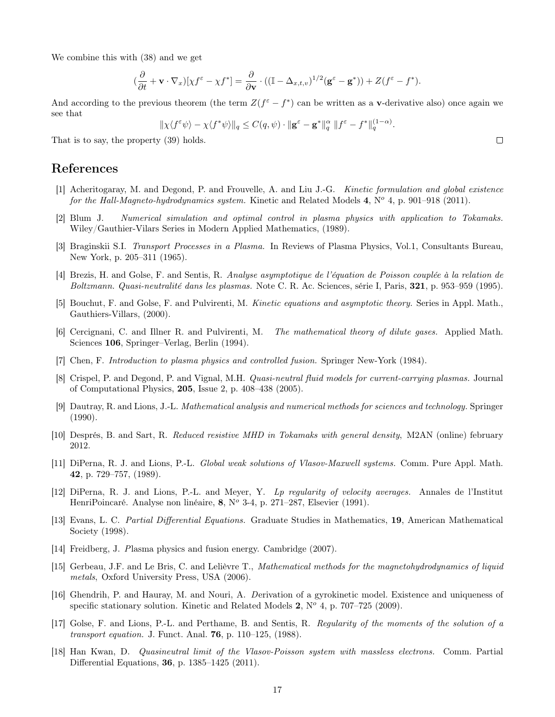We combine this with (38) and we get

$$
(\frac{\partial}{\partial t} + \mathbf{v} \cdot \nabla_x)[\chi f^{\varepsilon} - \chi f^*] = \frac{\partial}{\partial \mathbf{v}} \cdot ((\mathbb{I} - \Delta_{x,t,v})^{1/2} (\mathbf{g}^{\varepsilon} - \mathbf{g}^*)) + Z(f^{\varepsilon} - f^*).
$$

And according to the previous theorem (the term  $Z(f^{\varepsilon}-f^*)$  can be written as a **v**-derivative also) once again we see that

$$
\|\chi\langle f^{\varepsilon}\psi\rangle - \chi\langle f^*\psi\rangle\|_q \leq C(q,\psi) \cdot \|\mathbf{g}^{\varepsilon} - \mathbf{g}^*\|_q^{\alpha} \|f^{\varepsilon} - f^*\|_q^{(1-\alpha)}
$$

That is to say, the property (39) holds.

## References

- [1] Acheritogaray, M. and Degond, P. and Frouvelle, A. and Liu J.-G. Kinetic formulation and global existence for the Hall-Magneto-hydrodynamics system. Kinetic and Related Models 4,  $N^{\circ}$  4, p. 901–918 (2011).
- [2] Blum J. Numerical simulation and optimal control in plasma physics with application to Tokamaks. Wiley/Gauthier-Vilars Series in Modern Applied Mathematics, (1989).
- [3] Braginskii S.I. Transport Processes in a Plasma. In Reviews of Plasma Physics, Vol.1, Consultants Bureau, New York, p. 205–311 (1965).
- [4] Brezis, H. and Golse, F. and Sentis, R. Analyse asymptotique de l'équation de Poisson couplée à la relation de Boltzmann. Quasi-neutralité dans les plasmas. Note C. R. Ac. Sciences, série I, Paris, 321, p. 953–959 (1995).
- [5] Bouchut, F. and Golse, F. and Pulvirenti, M. Kinetic equations and asymptotic theory. Series in Appl. Math., Gauthiers-Villars, (2000).
- [6] Cercignani, C. and Illner R. and Pulvirenti, M. The mathematical theory of dilute gases. Applied Math. Sciences 106, Springer–Verlag, Berlin (1994).
- [7] Chen, F. Introduction to plasma physics and controlled fusion. Springer New-York (1984).
- [8] Crispel, P. and Degond, P. and Vignal, M.H. Quasi-neutral fluid models for current-carrying plasmas. Journal of Computational Physics, 205, Issue 2, p. 408–438 (2005).
- [9] Dautray, R. and Lions, J.-L. Mathematical analysis and numerical methods for sciences and technology. Springer (1990).
- [10] Després, B. and Sart, R. Reduced resistive MHD in Tokamaks with general density, M2AN (online) february 2012.
- [11] DiPerna, R. J. and Lions, P.-L. Global weak solutions of Vlasov-Maxwell systems. Comm. Pure Appl. Math. 42, p. 729–757, (1989).
- [12] DiPerna, R. J. and Lions, P.-L. and Meyer, Y. Lp regularity of velocity averages. Annales de l'Institut HenriPoincaré. Analyse non linéaire, 8,  $N^{\circ}$  3-4, p. 271–287, Elsevier (1991).
- [13] Evans, L. C. Partial Differential Equations. Graduate Studies in Mathematics, 19, American Mathematical Society (1998).
- [14] Freidberg, J. Plasma physics and fusion energy. Cambridge (2007).
- [15] Gerbeau, J.F. and Le Bris, C. and Lelièvre T., Mathematical methods for the magnetohydrodynamics of liquid metals, Oxford University Press, USA (2006).
- [16] Ghendrih, P. and Hauray, M. and Nouri, A. Derivation of a gyrokinetic model. Existence and uniqueness of specific stationary solution. Kinetic and Related Models  $2$ ,  $N^{\circ}$  4, p. 707–725 (2009).
- [17] Golse, F. and Lions, P.-L. and Perthame, B. and Sentis, R. Regularity of the moments of the solution of a transport equation. J. Funct. Anal. 76, p. 110–125, (1988).
- [18] Han Kwan, D. Quasineutral limit of the Vlasov-Poisson system with massless electrons. Comm. Partial Differential Equations, 36, p. 1385–1425 (2011).

 $\Box$ 

.